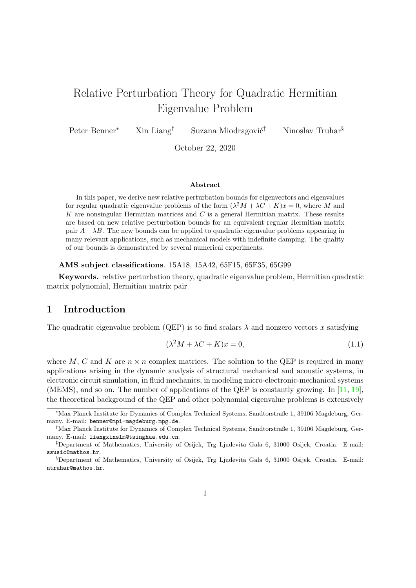# Relative Perturbation Theory for Quadratic Hermitian Eigenvalue Problem

Peter Benner<sup>∗</sup> Xin Liang<sup>†</sup> Suzana Miodragović<sup>‡</sup> Ninoslav Truhar<sup>§</sup>

October 22, 2020

#### Abstract

In this paper, we derive new relative perturbation bounds for eigenvectors and eigenvalues for regular quadratic eigenvalue problems of the form  $(\lambda^2 M + \lambda C + K)x = 0$ , where M and K are nonsingular Hermitian matrices and  $C$  is a general Hermitian matrix. These results are based on new relative perturbation bounds for an equivalent regular Hermitian matrix pair  $A-\lambda B$ . The new bounds can be applied to quadratic eigenvalue problems appearing in many relevant applications, such as mechanical models with indefinite damping. The quality of our bounds is demonstrated by several numerical experiments.

#### AMS subject classifications. 15A18, 15A42, 65F15, 65F35, 65G99

Keywords. relative perturbation theory, quadratic eigenvalue problem, Hermitian quadratic matrix polynomial, Hermitian matrix pair

## 1 Introduction

The quadratic eigenvalue problem (QEP) is to find scalars  $\lambda$  and nonzero vectors x satisfying

<span id="page-0-0"></span>
$$
(\lambda^2 M + \lambda C + K)x = 0,\t(1.1)
$$

where M, C and K are  $n \times n$  complex matrices. The solution to the QEP is required in many applications arising in the dynamic analysis of structural mechanical and acoustic systems, in electronic circuit simulation, in fluid mechanics, in modeling micro-electronic-mechanical systems (MEMS), and so on. The number of applications of the QEP is constantly growing. In [\[11,](#page-27-0) [19\]](#page-28-0), the theoretical background of the QEP and other polynomial eigenvalue problems is extensively

<sup>∗</sup>Max Planck Institute for Dynamics of Complex Technical Systems, Sandtorstraße 1, 39106 Magdeburg, Germany. E-mail: benner@mpi-magdeburg.mpg.de.

<sup>†</sup>Max Planck Institute for Dynamics of Complex Technical Systems, Sandtorstraße 1, 39106 Magdeburg, Germany. E-mail: liangxinslm@tsinghua.edu.cn.

<sup>‡</sup>Department of Mathematics, University of Osijek, Trg Ljudevita Gala 6, 31000 Osijek, Croatia. E-mail: ssusic@mathos.hr.

<sup>§</sup>Department of Mathematics, University of Osijek, Trg Ljudevita Gala 6, 31000 Osijek, Croatia. E-mail: ntruhar@mathos.hr.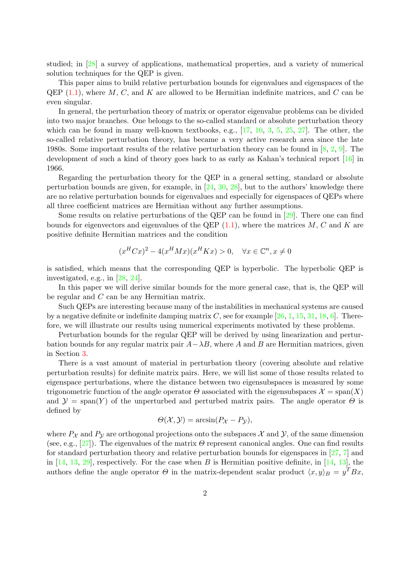studied; in [\[28\]](#page-28-1) a survey of applications, mathematical properties, and a variety of numerical solution techniques for the QEP is given.

This paper aims to build relative perturbation bounds for eigenvalues and eigenspaces of the QEP  $(1.1)$ , where M, C, and K are allowed to be Hermitian indefinite matrices, and C can be even singular.

In general, the perturbation theory of matrix or operator eigenvalue problems can be divided into two major branches. One belongs to the so-called standard or absolute perturbation theory which can be found in many well-known textbooks, e.g.,  $[17, 10, 3, 5, 25, 27]$  $[17, 10, 3, 5, 25, 27]$  $[17, 10, 3, 5, 25, 27]$  $[17, 10, 3, 5, 25, 27]$  $[17, 10, 3, 5, 25, 27]$  $[17, 10, 3, 5, 25, 27]$  $[17, 10, 3, 5, 25, 27]$  $[17, 10, 3, 5, 25, 27]$  $[17, 10, 3, 5, 25, 27]$  $[17, 10, 3, 5, 25, 27]$  $[17, 10, 3, 5, 25, 27]$ . The other, the so-called relative perturbation theory, has became a very active research area since the late 1980s. Some important results of the relative perturbation theory can be found in  $[8, 2, 9]$  $[8, 2, 9]$  $[8, 2, 9]$  $[8, 2, 9]$  $[8, 2, 9]$ . The development of such a kind of theory goes back to as early as Kahan's technical report [\[16\]](#page-28-5) in 1966.

Regarding the perturbation theory for the QEP in a general setting, standard or absolute perturbation bounds are given, for example, in  $[24, 30, 28]$  $[24, 30, 28]$  $[24, 30, 28]$  $[24, 30, 28]$  $[24, 30, 28]$ , but to the authors' knowledge there are no relative perturbation bounds for eigenvalues and especially for eigenspaces of QEPs where all three coefficient matrices are Hermitian without any further assumptions.

Some results on relative perturbations of the QEP can be found in [\[29\]](#page-28-8). There one can find bounds for eigenvectors and eigenvalues of the QEP  $(1.1)$ , where the matrices M, C and K are positive definite Hermitian matrices and the condition

$$
(x^{H}Cx)^{2} - 4(x^{H}Mx)(x^{H}Kx) > 0, \quad \forall x \in \mathbb{C}^{n}, x \neq 0
$$

is satisfied, which means that the corresponding QEP is hyperbolic. The hyperbolic QEP is investigated, e.g., in [\[28,](#page-28-1) [24\]](#page-28-6).

In this paper we will derive similar bounds for the more general case, that is, the QEP will be regular and C can be any Hermitian matrix.

Such QEPs are interesting because many of the instabilities in mechanical systems are caused by a negative definite or indefinite damping matrix  $C$ , see for example [\[26,](#page-28-9) [1,](#page-27-7) [15,](#page-28-10) [31,](#page-28-11) [18,](#page-28-12) [6\]](#page-27-8). Therefore, we will illustrate our results using numerical experiments motivated by these problems.

Perturbation bounds for the regular QEP will be derived by using linearization and perturbation bounds for any regular matrix pair  $A-\lambda B$ , where A and B are Hermitian matrices, given in Section [3.](#page-4-0)

There is a vast amount of material in perturbation theory (covering absolute and relative perturbation results) for definite matrix pairs. Here, we will list some of those results related to eigenspace perturbations, where the distance between two eigensubspaces is measured by some trigonometric function of the angle operator  $\Theta$  associated with the eigensubspaces  $\mathcal{X} = \text{span}(X)$ and  $\mathcal{Y} = \text{span}(Y)$  of the unperturbed and perturbed matrix pairs. The angle operator  $\Theta$  is defined by

$$
\Theta(\mathcal{X}, \mathcal{Y}) = \arcsin(P_{\mathcal{X}} - P_{\mathcal{Y}}),
$$

where  $P_{\mathcal{X}}$  and  $P_{\mathcal{Y}}$  are orthogonal projections onto the subspaces  $\mathcal{X}$  and  $\mathcal{Y}$ , of the same dimension (see, e.g., [\[27\]](#page-28-4)). The eigenvalues of the matrix  $\Theta$  represent canonical angles. One can find results for standard perturbation theory and relative perturbation bounds for eigenspaces in [\[27,](#page-28-4) [7\]](#page-27-9) and in [\[14,](#page-28-13) [13,](#page-28-14) [29\]](#page-28-8), respectively. For the case when B is Hermitian positive definite, in [14, [13\]](#page-28-14), the authors define the angle operator  $\Theta$  in the matrix-dependent scalar product  $\langle x, y \rangle_B = y^T B x$ ,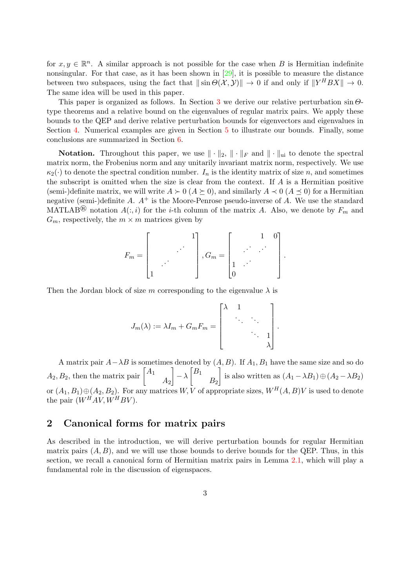for  $x, y \in \mathbb{R}^n$ . A similar approach is not possible for the case when B is Hermitian indefinite nonsingular. For that case, as it has been shown in [\[29\]](#page-28-8), it is possible to measure the distance between two subspaces, using the fact that  $\|\sin\Theta(\mathcal{X}, \mathcal{Y})\| \to 0$  if and only if  $\|Y^H BX\| \to 0$ . The same idea will be used in this paper.

This paper is organized as follows. In Section [3](#page-4-0) we derive our relative perturbation  $\sin \Theta$ type theorems and a relative bound on the eigenvalues of regular matrix pairs. We apply these bounds to the QEP and derive relative perturbation bounds for eigenvectors and eigenvalues in Section [4.](#page-13-0) Numerical examples are given in Section [5](#page-16-0) to illustrate our bounds. Finally, some conclusions are summarized in Section [6.](#page-20-0)

**Notation.** Throughout this paper, we use  $\|\cdot\|_2$ ,  $\|\cdot\|_F$  and  $\|\cdot\|_{\text{ui}}$  to denote the spectral matrix norm, the Frobenius norm and any unitarily invariant matrix norm, respectively. We use  $\kappa_2(\cdot)$  to denote the spectral condition number.  $I_n$  is the identity matrix of size n, and sometimes the subscript is omitted when the size is clear from the context. If  $A$  is a Hermitian positive (semi-)definite matrix, we will write  $A \succ 0$  ( $A \succeq 0$ ), and similarly  $A \prec 0$  ( $A \preceq 0$ ) for a Hermitian negative (semi-)definite A.  $A^+$  is the Moore-Penrose pseudo-inverse of A. We use the standard MATLAB<sup>®</sup> notation  $A(:, i)$  for the *i*-th column of the matrix A. Also, we denote by  $F_m$  and  $G_m$ , respectively, the  $m \times m$  matrices given by

$$
F_m = \begin{bmatrix} & & & 1 \\ & & \cdots & \\ & & & \end{bmatrix}, G_m = \begin{bmatrix} & & 1 & 0 \\ & \cdots & \cdots & \\ 1 & & & \end{bmatrix}.
$$

Then the Jordan block of size m corresponding to the eigenvalue  $\lambda$  is

$$
J_m(\lambda) := \lambda I_m + G_m F_m = \begin{bmatrix} \lambda & 1 & & \\ & \ddots & \ddots & \\ & & \ddots & 1 \\ & & & \lambda \end{bmatrix}
$$

.

A matrix pair  $A-\lambda B$  is sometimes denoted by  $(A, B)$ . If  $A_1, B_1$  have the same size and so do  $A_2, B_2$ , then the matrix pair  $\begin{bmatrix} A_1 \end{bmatrix}$  $A_2$  $-\lambda\left[\begin{smallmatrix} B_1 \ -\lambda \end{smallmatrix}\right]$  $B<sub>2</sub>$ is also written as  $(A_1 - \lambda B_1) \oplus (A_2 - \lambda B_2)$ or  $(A_1, B_1) \oplus (A_2, B_2)$ . For any matrices  $W, V$  of appropriate sizes,  $W^H(A, B)V$  is used to denote the pair  $(W^HAV, W^HBV)$ .

## 2 Canonical forms for matrix pairs

As described in the introduction, we will derive perturbation bounds for regular Hermitian matrix pairs  $(A, B)$ , and we will use those bounds to derive bounds for the QEP. Thus, in this section, we recall a canonical form of Hermitian matrix pairs in Lemma [2.1,](#page-3-0) which will play a fundamental role in the discussion of eigenspaces.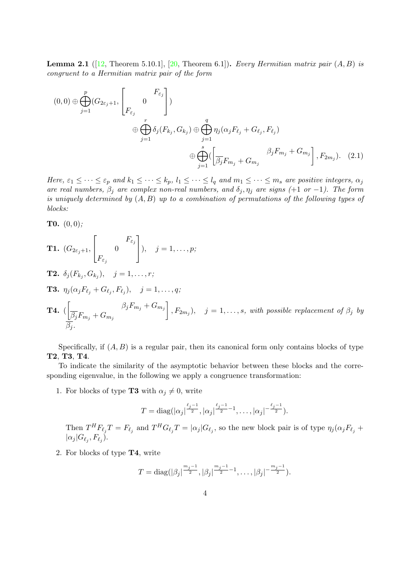**Lemma 2.1** ([\[12,](#page-28-15) Theorem 5.10.1], [\[20,](#page-28-16) Theorem 6.1]). Every Hermitian matrix pair  $(A, B)$  is congruent to a Hermitian matrix pair of the form

<span id="page-3-0"></span>
$$
(0,0) \oplus \bigoplus_{j=1}^{p} (G_{2\varepsilon_j+1}, \begin{bmatrix} F_{\varepsilon_j} \\ 0 \end{bmatrix})
$$
  

$$
\oplus \bigoplus_{j=1}^{r} \delta_j(F_{k_j}, G_{k_j}) \oplus \bigoplus_{j=1}^{q} \eta_j(\alpha_j F_{\ell_j} + G_{\ell_j}, F_{\ell_j})
$$
  

$$
\oplus \bigoplus_{j=1}^{s} (\left[\frac{\beta_j F_{m_j} + G_{m_j}}{\beta_j F_{m_j} + G_{m_j}}\right], F_{2m_j}).
$$
 (2.1)

Here,  $\varepsilon_1 \leq \cdots \leq \varepsilon_p$  and  $k_1 \leq \cdots \leq k_p$ ,  $l_1 \leq \cdots \leq l_q$  and  $m_1 \leq \cdots \leq m_s$  are positive integers,  $\alpha_j$ are real numbers,  $\beta_j$  are complex non-real numbers, and  $\delta_j, \eta_j$  are signs (+1 or -1). The form is uniquely determined by  $(A, B)$  up to a combination of permutations of the following types of blocks:

**T0.**  $(0, 0)$ ;

**T1.** 
$$
(G_{2\varepsilon_j+1}, \begin{bmatrix} F_{\varepsilon_j} \\ F_{\varepsilon_j} \end{bmatrix}), \quad j=1,\ldots,p;
$$

- **T2.**  $\delta_j(F_{k_j}, G_{k_j}), \quad j = 1, \ldots, r;$
- **T3.**  $\eta_j(\alpha_j F_{\ell_j} + G_{\ell_j}, F_{\ell_j}), \quad j = 1, \ldots, q;$

**T4.** 
$$
\left(\frac{\beta_j F_{m_j} + G_{m_j}}{\beta_j} + G_{m_j}\right)
$$
,  $F_{2m_j}$ ),  $j = 1, ..., s$ , with possible replacement of  $\beta_j$  by  $\beta_j$ .

Specifically, if  $(A, B)$  is a regular pair, then its canonical form only contains blocks of type T2, T3, T4.

To indicate the similarity of the asymptotic behavior between these blocks and the corresponding eigenvalue, in the following we apply a congruence transformation:

1. For blocks of type **T3** with  $\alpha_j \neq 0$ , write

$$
T = \text{diag}(|\alpha_j|^{\frac{\ell_j-1}{2}}, |\alpha_j|^{\frac{\ell_j-1}{2}-1}, \dots, |\alpha_j|^{-\frac{\ell_j-1}{2}}).
$$

Then  $T^H F_{\ell_j} T = F_{\ell_j}$  and  $T^H G_{\ell_j} T = |\alpha_j| G_{\ell_j}$ , so the new block pair is of type  $\eta_j(\alpha_j F_{\ell_j} +$  $|\alpha_j|G_{\ell_j}, F_{\ell_j}).$ 

2. For blocks of type T4, write

$$
T = \text{diag}(|\beta_j|^{\frac{m_j-1}{2}}, |\beta_j|^{\frac{m_j-1}{2}-1}, \dots, |\beta_j|^{-\frac{m_j-1}{2}}).
$$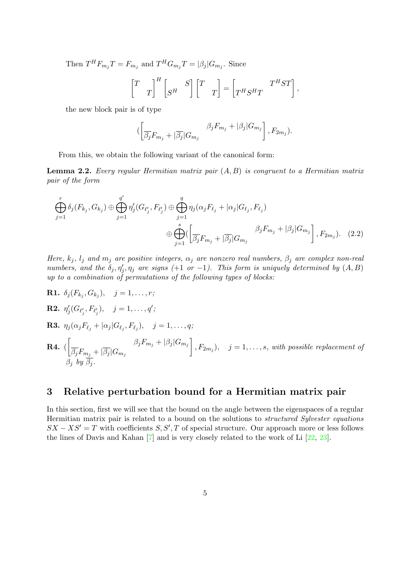Then  $T^H F_{m_j} T = F_{m_j}$  and  $T^H G_{m_j} T = |\beta_j| G_{m_j}$ . Since

$$
\begin{bmatrix} T & T \end{bmatrix}^H \begin{bmatrix} S^H & S \end{bmatrix} \begin{bmatrix} T & T \end{bmatrix} = \begin{bmatrix} T^H S^H T & T^H S^T \end{bmatrix},
$$

the new block pair is of type

<span id="page-4-1"></span>
$$
(\left[\frac{\beta_j F_{m_j} + |\overline{\beta_j}| G_{m_j}}{\beta_j F_{m_j} + |\beta_j|} \right], F_{2m_j}).
$$

From this, we obtain the following variant of the canonical form:

**Lemma 2.2.** Every regular Hermitian matrix pair  $(A, B)$  is congruent to a Hermitian matrix pair of the form

$$
\bigoplus_{j=1}^{r} \delta_{j}(F_{k_{j}}, G_{k_{j}}) \oplus \bigoplus_{j=1}^{q'} \eta'_{j}(G_{\ell'_{j}}, F_{\ell'_{j}}) \oplus \bigoplus_{j=1}^{q} \eta_{j}(\alpha_{j} F_{\ell_{j}} + |\alpha_{j}| G_{\ell_{j}}, F_{\ell_{j}})
$$
\n
$$
\oplus \bigoplus_{j=1}^{s} (\left[ \frac{\beta_{j}}{\beta_{j}} F_{m_{j}} + |\overline{\beta_{j}}| G_{m_{j}} \right]^{j} F_{m_{j}} + |\beta_{j}| G_{m_{j}}), \quad (2.2)
$$

Here,  $k_j$ ,  $l_j$  and  $m_j$  are positive integers,  $\alpha_j$  are nonzero real numbers,  $\beta_j$  are complex non-real numbers, and the  $\delta_j, \eta'_j, \eta_j$  are signs (+1 or -1). This form is uniquely determined by  $(A, B)$ up to a combination of permutations of the following types of blocks:

**R1.**  $\delta_j(F_{k_j}, G_{k_j}), \quad j = 1, \ldots, r;$ **R2.**  $\eta'_{j}(G_{\ell'_{j}}, F_{\ell'_{j}}), \quad j = 1, \ldots, q';$ **R3.**  $\eta_j(\alpha_j F_{\ell_j} + |\alpha_j| G_{\ell_j}, F_{\ell_j}), \quad j = 1, \ldots, q;$ 

**R4.**  $\left[\frac{\beta_j F_{m_j} + |\beta_j| G_{m_j}}{\sigma} \right]$  $\overline{\beta_j}F_{m_j}+|\overline{\beta_j}|G_{m_j}$  $\Big\}, F_{2m_j}), \quad j=1,\ldots,s, \text{ with possible replacement of } j$  $\beta_j$  by  $\beta_j$ .

## <span id="page-4-0"></span>3 Relative perturbation bound for a Hermitian matrix pair

In this section, first we will see that the bound on the angle between the eigenspaces of a regular Hermitian matrix pair is related to a bound on the solutions to structured Sylvester equations  $SX - NS' = T$  with coefficients  $S, S', T$  of special structure. Our approach more or less follows the lines of Davis and Kahan [\[7\]](#page-27-9) and is very closely related to the work of Li [\[22,](#page-28-17) [23\]](#page-28-18).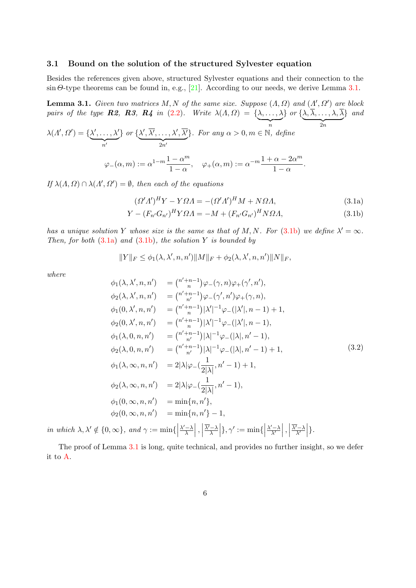#### 3.1 Bound on the solution of the structured Sylvester equation

Besides the references given above, structured Sylvester equations and their connection to the  $\sin \Theta$ -type theorems can be found in, e.g., [\[21\]](#page-28-19). According to our needs, we derive Lemma [3.1.](#page-5-0)

**Lemma 3.1.** Given two matrices M, N of the same size. Suppose  $(A, \Omega)$  and  $(A', \Omega')$  are block pairs of the type **R2, R3, R4** in [\(2.2\)](#page-4-1). Write  $\lambda(A, \Omega) = {\lambda, ..., \lambda}$  $\}$  or  $\{\lambda, \lambda, \ldots, \lambda, \lambda\}$ } and

$$
\lambda(\Lambda', \Omega') = \{ \underbrace{\lambda', \dots, \lambda'}_{n'} \} \text{ or } \{ \underbrace{\lambda', \overline{\lambda'}, \dots, \lambda', \overline{\lambda'}}_{2n'} \}. \text{ For any } \alpha > 0, m \in \mathbb{N}, \text{ define}
$$
  

$$
\varphi_{-}(\alpha, m) := \alpha^{1-m} \frac{1 - \alpha^{m}}{1 - \alpha}, \quad \varphi_{+}(\alpha, m) := \alpha^{-m} \frac{1 + \alpha - 2\alpha^{m}}{1 - \alpha}.
$$

If  $\lambda(A,\Omega) \cap \lambda(A',\Omega') = \emptyset$ , then each of the equations

<span id="page-5-2"></span><span id="page-5-1"></span><span id="page-5-0"></span>
$$
(\Omega' \Lambda')^H Y - Y \Omega \Lambda = -(\Omega' \Lambda')^H M + N \Omega \Lambda, \tag{3.1a}
$$

$$
Y - (F_{n'}G_{n'})^H Y \Omega \Lambda = -M + (F_{n'}G_{n'})^H N \Omega \Lambda, \qquad (3.1b)
$$

has a unique solution Y whose size is the same as that of M, N. For [\(3.1b\)](#page-5-1) we define  $\lambda' = \infty$ . Then, for both  $(3.1a)$  and  $(3.1b)$ , the solution Y is bounded by

$$
||Y||_F \leq \phi_1(\lambda, \lambda', n, n')||M||_F + \phi_2(\lambda, \lambda', n, n')||N||_F,
$$

where

<span id="page-5-3"></span>
$$
\phi_1(\lambda, \lambda', n, n') = \binom{n'+n-1}{n} \varphi_-(\gamma, n) \varphi_+(\gamma', n'),
$$
  
\n
$$
\phi_2(\lambda, \lambda', n, n') = \binom{n'+n-1}{n} \varphi_-(\gamma', n') \varphi_+(\gamma, n),
$$
  
\n
$$
\phi_1(0, \lambda', n, n') = \binom{n'+n-1}{n} |\lambda'|^{-1} \varphi_-(|\lambda'|, n-1) + 1,
$$
  
\n
$$
\phi_2(0, \lambda', n, n') = \binom{n'+n-1}{n} |\lambda'|^{-1} \varphi_-(|\lambda'|, n-1),
$$
  
\n
$$
\phi_1(\lambda, 0, n, n') = \binom{n'+n-1}{n} |\lambda|^{-1} \varphi_-(|\lambda|, n'-1),
$$
  
\n
$$
\phi_2(\lambda, 0, n, n') = \binom{n'+n-1}{n} |\lambda|^{-1} \varphi_-(|\lambda|, n'-1) + 1,
$$
  
\n
$$
\phi_1(\lambda, \infty, n, n') = 2|\lambda| \varphi_-(\frac{1}{2|\lambda|}, n'-1) + 1,
$$
  
\n
$$
\phi_2(\lambda, \infty, n, n') = 2|\lambda| \varphi_-(\frac{1}{2|\lambda|}, n'-1),
$$
  
\n
$$
\phi_1(0, \infty, n, n') = \min\{n, n'\},
$$
  
\n
$$
\phi_2(0, \infty, n, n') = \min\{n, n'\},
$$
  
\n
$$
\phi_2(\lambda, \infty, n, n') = \min\{n, n'\} - 1,
$$

in which  $\lambda, \lambda' \notin \{0, \infty\}$ , and  $\gamma := \min\{\Big|$  $\lambda' - \lambda$  $\frac{-\lambda}{\lambda}\Big\vert\ ,$  $\overline{\lambda'}$ −λ  $\left|\frac{1-\lambda}{\lambda}\right|$  },  $\gamma' := \min\{\left|$  $\lambda' - \lambda$  $\left|\frac{\lambda' - \lambda}{\lambda'}\right|,$  $\overline{\lambda'}-\lambda$  $\left. \frac{\bar{N}-\lambda}{\lambda'} \right| \}.$ 

The proof of Lemma [3.1](#page-5-3) is long, quite technical, and provides no further insight, so we defer it to [A.](#page-20-1)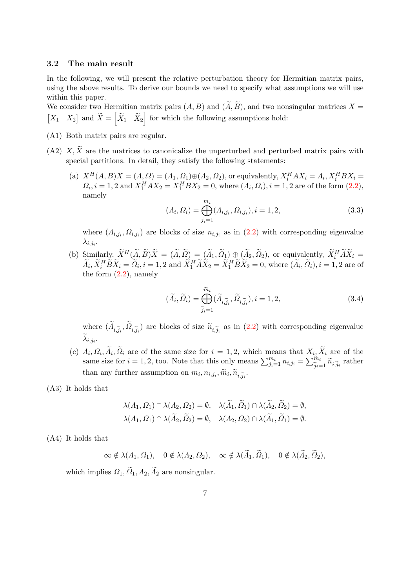#### 3.2 The main result

In the following, we will present the relative perturbation theory for Hermitian matrix pairs, using the above results. To derive our bounds we need to specify what assumptions we will use within this paper.

We consider two Hermitian matrix pairs  $(A, B)$  and  $(\widetilde{A}, \widetilde{B})$ , and two nonsingular matrices  $X =$  $\begin{bmatrix} X_1 & X_2 \end{bmatrix}$  and  $\widetilde{X} = \begin{bmatrix} \widetilde{X}_1 & \widetilde{X}_2 \end{bmatrix}$  for which the following assumptions hold:

- (A1) Both matrix pairs are regular.
- (A2)  $\tilde{X}, \tilde{X}$  are the matrices to canonicalize the unperturbed and perturbed matrix pairs with special partitions. In detail, they satisfy the following statements:
	- (a)  $X^H(A, B)X = (A, \Omega) = (A_1, \Omega_1) \oplus (A_2, \Omega_2)$ , or equivalently,  $X_i^H A X_i = A_i, X_i^H B X_i =$  $\Omega_i, i = 1, 2$  and  $X_1^H A X_2 = X_1^H B X_2 = 0$ , where  $(\Lambda_i, \Omega_i), i = 1, 2$  are of the form  $(2.2)$ , namely

<span id="page-6-0"></span>
$$
(\Lambda_i, \Omega_i) = \bigoplus_{j_i=1}^{m_i} (\Lambda_{i,j_i}, \Omega_{i,j_i}), i = 1, 2,
$$
\n(3.3)

where  $(A_{i,j_i}, \Omega_{i,j_i})$  are blocks of size  $n_{i,j_i}$  as in  $(2.2)$  with corresponding eigenvalue  $\lambda_{i,j_i}.$ 

(b)  $\lim_{\alpha \to \infty} \lim_{X \to \infty} \tilde{X}^H(\tilde{A}, \tilde{B})\tilde{X} = (\tilde{A}, \tilde{\Omega}) = (\tilde{A}_1, \tilde{\Omega}) \oplus (\tilde{A}_2, \tilde{\Omega}_2)$ , or equivalently,  $\tilde{X}_i^H \tilde{A} \tilde{X}_i =$  $\widetilde{A}_i, \widetilde{X}_i^H \widetilde{B} \widetilde{X}_i = \widetilde{O}_i, i = 1, 2 \text{ and } \widetilde{X}_1^H \widetilde{A} \widetilde{X}_2 = \widetilde{X}_1^H \widetilde{B} \widetilde{X}_2 = 0$ , where  $(\widetilde{A}_i, \widetilde{O}_i), i = 1, 2$  are of the form [\(2.2\)](#page-4-1), namely

$$
(\widetilde{\Lambda}_i, \widetilde{\Omega}_i) = \bigoplus_{\widetilde{j}_i=1}^{\widetilde{m}_i} (\widetilde{\Lambda}_{i,\widetilde{j}_i}, \widetilde{\Omega}_{i,\widetilde{j}_i}), i = 1, 2,
$$
\n(3.4)

where  $(A_{i,\tilde{j}_i}, \Omega_{i,\tilde{j}_i})$  are blocks of size  $\tilde{n}_{i,\tilde{j}_i}$  as in [\(2.2\)](#page-4-1) with corresponding eigenvalue  $\lambda_{i,j_i}.$ 

- (c)  $\Lambda_i, \Omega_i, \Lambda_i, \Omega_i$  are of the same size for  $i = 1, 2$ , which means that  $X_i, X_i$  are of the same size for  $i = 1, 2$ , too. Note that this only means  $\sum_{j_i=1}^{m_i} n_{i,j_i} = \sum_{j_i=1}^{\widetilde{m}_i}$  $\widetilde{J}_{i=1}^{m_i} \widetilde{n}_{i,\widetilde{j}_i}$  rather than any further assumption on  $m_i, n_{i,j_i}, \widetilde{m}_i, \widetilde{n}_{i,\widetilde{j}_i}$ .
- (A3) It holds that

$$
\lambda(\Lambda_1, \Omega_1) \cap \lambda(\Lambda_2, \Omega_2) = \emptyset, \quad \lambda(\tilde{\Lambda}_1, \tilde{\Omega}_1) \cap \lambda(\tilde{\Lambda}_2, \tilde{\Omega}_2) = \emptyset, \lambda(\Lambda_1, \Omega_1) \cap \lambda(\tilde{\Lambda}_2, \tilde{\Omega}_2) = \emptyset, \quad \lambda(\Lambda_2, \Omega_2) \cap \lambda(\tilde{\Lambda}_1, \tilde{\Omega}_1) = \emptyset.
$$

(A4) It holds that

$$
\infty \notin \lambda(\Lambda_1, \Omega_1), \quad 0 \notin \lambda(\Lambda_2, \Omega_2), \quad \infty \notin \lambda(\Lambda_1, \Omega_1), \quad 0 \notin \lambda(\Lambda_2, \Omega_2),
$$

which implies  $\Omega_1, \widetilde{\Omega}_1, \Lambda_2, \widetilde{\Lambda}_2$  are nonsingular.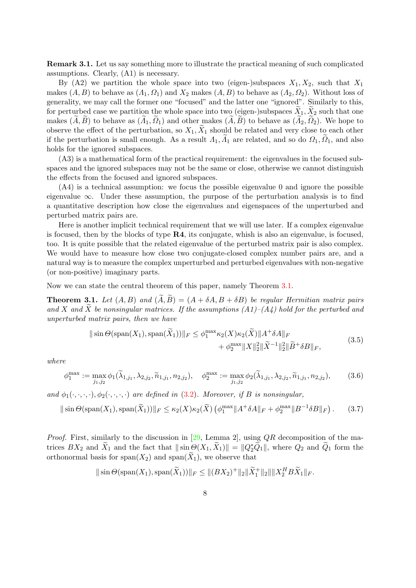Remark 3.1. Let us say something more to illustrate the practical meaning of such complicated assumptions. Clearly, (A1) is necessary.

By (A2) we partition the whole space into two (eigen-)subspaces  $X_1, X_2$ , such that  $X_1$ makes  $(A, B)$  to behave as  $(A_1, \Omega_1)$  and  $X_2$  makes  $(A, B)$  to behave as  $(A_2, \Omega_2)$ . Without loss of generality, we may call the former one "focused" and the latter one "ignored". Similarly to this, for perturbed case we partition the whole space into two (eigen-)subspaces  $\overline{X}_1, \overline{X}_2$  such that one makes  $(\widetilde{A}, \widetilde{B})$  to behave as  $(\widetilde{A}_1, \widetilde{O}_1)$  and other makes  $(\widetilde{A}, \widetilde{B})$  to behave as  $(\widetilde{A}_2, \widetilde{O}_2)$ . We hope to observe the effect of the perturbation, so  $X_1, X_1$  should be related and very close to each other if the perturbation is small enough. As a result  $\Lambda_1, \Lambda_1$  are related, and so do  $\Omega_1, \Omega_1$ , and also holds for the ignored subspaces.

(A3) is a mathematical form of the practical requirement: the eigenvalues in the focused subspaces and the ignored subspaces may not be the same or close, otherwise we cannot distinguish the effects from the focused and ignored subspaces.

(A4) is a technical assumption: we focus the possible eigenvalue 0 and ignore the possible eigenvalue  $\infty$ . Under these assumption, the purpose of the perturbation analysis is to find a quantitative description how close the eigenvalues and eigenspaces of the unperturbed and perturbed matrix pairs are.

Here is another implicit technical requirement that we will use later. If a complex eigenvalue is focused, then by the blocks of type  $\mathbb{R}4$ , its conjugate, whish is also an eigenvalue, is focused, too. It is quite possible that the related eigenvalue of the perturbed matrix pair is also complex. We would have to measure how close two conjugate-closed complex number pairs are, and a natural way is to measure the complex unperturbed and perturbed eigenvalues with non-negative (or non-positive) imaginary parts.

Now we can state the central theorem of this paper, namely Theorem [3.1.](#page-7-0)

<span id="page-7-0"></span>**Theorem 3.1.** Let  $(A, B)$  and  $(\tilde{A}, \tilde{B}) = (A + \delta A, B + \delta B)$  be regular Hermitian matrix pairs and X and  $\widetilde{X}$  be nonsingular matrices. If the assumptions  $(A1)$ – $(A_4)$  hold for the perturbed and unperturbed matrix pairs, then we have

<span id="page-7-2"></span>
$$
\|\sin\Theta(\text{span}(X_1),\text{span}(\widetilde{X}_1))\|_F \leq \phi_1^{\max}\kappa_2(X)\kappa_2(\widetilde{X})\|A^+\delta A\|_F + \phi_2^{\max}\|X\|_2^2\|\widetilde{X}^{-1}\|_2^2\|\widetilde{B}^+\delta B\|_F,
$$
(3.5)

where

<span id="page-7-3"></span>
$$
\phi_1^{\max} := \max_{j_1, j_2} \phi_1(\widetilde{\lambda}_{1, j_1}, \lambda_{2, j_2}, \widetilde{n}_{1, j_1}, n_{2, j_2}), \quad \phi_2^{\max} := \max_{j_1, j_2} \phi_2(\widetilde{\lambda}_{1, j_1}, \lambda_{2, j_2}, \widetilde{n}_{1, j_1}, n_{2, j_2}), \quad (3.6)
$$

and  $\phi_1(\cdot,\cdot,\cdot,\cdot), \phi_2(\cdot,\cdot,\cdot,\cdot)$  are defined in [\(3.2\)](#page-5-3). Moreover, if B is nonsingular,

<span id="page-7-1"></span>
$$
\|\sin\Theta(\text{span}(X_1),\text{span}(\widetilde{X}_1))\|_F \leq \kappa_2(X)\kappa_2(\widetilde{X})\left(\phi_1^{\max}\|A^+\delta A\|_F + \phi_2^{\max}\|B^{-1}\delta B\|_F\right). \tag{3.7}
$$

*Proof.* First, similarly to the discussion in [\[29,](#page-28-8) Lemma 2], using  $QR$  decomposition of the matrices  $BX_2$  and  $\widetilde{X}_1$  and the fact that  $\|\sin \Theta(X_1, \widetilde{X}_1)\| = \|Q_2^* \widetilde{Q}_1\|$ , where  $Q_2$  and  $\widetilde{Q}_1$  form the orthonormal basis for span $(X_2)$  and span $(\widetilde{X}_1)$ , we observe that

$$
\|\sin\Theta(\text{span}(X_1),\text{span}(\widetilde{X}_1))\|_F \leq \|(BX_2)^+\|_2 \|\widetilde{X}_1^+\|_2 \|\|X_2^H B \widetilde{X}_1\|_F.
$$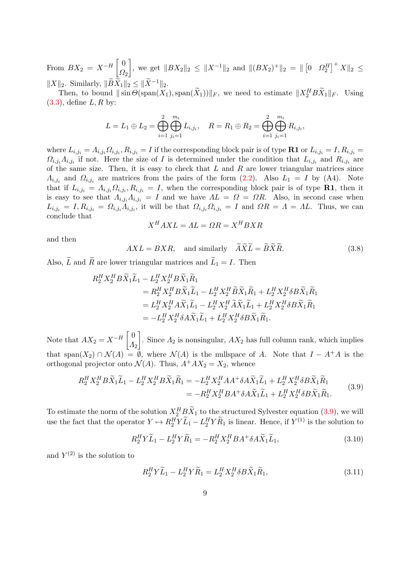From  $BX_2 = X^{-H} \begin{bmatrix} 0 \\ 0 \end{bmatrix}$  $\Omega_2$  $\Big],$  we get  $||BX_2||_2 \leq ||X^{-1}||_2$  and  $||(BX_2)^+||_2 = ||[0 \tOmega_2^H]^+ X||_2 ≤$  $||X||_2$ . Similarly,  $||\widetilde{B}\widetilde{X}_1||_2 \leq ||\widetilde{X}^{-1}||_2$ .

Then, to bound  $\|\sin \Theta(\text{span}(X_1), \text{span}(\tilde{X}_1))\|_F$ , we need to estimate  $\|X_2^H B \tilde{X}_1\|_F$ . Using  $(3.3)$ , define  $L, R$  by:

$$
L = L_1 \oplus L_2 = \bigoplus_{i=1}^{2} \bigoplus_{j_i=1}^{m_i} L_{i,j_i}, \quad R = R_1 \oplus R_2 = \bigoplus_{i=1}^{2} \bigoplus_{j_i=1}^{m_i} R_{i,j_i},
$$

where  $L_{i,j_i} = \Lambda_{i,j_i} \Omega_{i,j_i}, R_{i,j_i} = I$  if the corresponding block pair is of type **R1** or  $L_{i,j_i} = I, R_{i,j_i} = I$  $\Omega_{i,j_i}\Lambda_{i,j_i}$  if not. Here the size of I is determined under the condition that  $L_{i,j_i}$  and  $R_{i,j_i}$  are of the same size. Then, it is easy to check that  $L$  and  $R$  are lower triangular matrices since  $\Lambda_{i,j_i}$  and  $\Omega_{i,j_i}$  are matrices from the pairs of the form  $(2.2)$ . Also  $L_1 = I$  by  $(A4)$ . Note that if  $L_{i,j_i} = \Lambda_{i,j_i} \Omega_{i,j_i}, R_{i,j_i} = I$ , when the corresponding block pair is of type **R1**, then it is easy to see that  $\Lambda_{i,j_i}\Lambda_{i,j_i} = I$  and we have  $\Lambda L = \Omega = \Omega R$ . Also, in second case when  $L_{i,j_i} = I, R_{i,j_i} = \Omega_{i,j_i} \Lambda_{i,j_i}$ , it will be that  $\Omega_{i,j_i} \Omega_{i,j_i} = I$  and  $\Omega R = \Lambda = \Lambda L$ . Thus, we can conclude that

$$
X^H AXL = AL = \Omega R = X^H BXR
$$

and then

<span id="page-8-3"></span>
$$
AXL = BXR, \text{ and similarly } \widetilde{A}\widetilde{X}\widetilde{L} = \widetilde{B}\widetilde{X}\widetilde{R}.
$$
 (3.8)

Also,  $\widetilde{L}$  and  $\widetilde{R}$  are lower triangular matrices and  $\widetilde{L}_1 = I$ . Then

$$
R_2^H X_2^H B \widetilde{X}_1 \widetilde{L}_1 - L_2^H X_2^H B \widetilde{X}_1 \widetilde{R}_1
$$
  
=  $R_2^H X_2^H B \widetilde{X}_1 \widetilde{L}_1 - L_2^H X_2^H \widetilde{B} \widetilde{X}_1 \widetilde{R}_1 + L_2^H X_2^H \delta B \widetilde{X}_1 \widetilde{R}_1$   
=  $L_2^H X_2^H A \widetilde{X}_1 \widetilde{L}_1 - L_2^H X_2^H \widetilde{A} \widetilde{X}_1 \widetilde{L}_1 + L_2^H X_2^H \delta B \widetilde{X}_1 \widetilde{R}_1$   
=  $-L_2^H X_2^H \delta A \widetilde{X}_1 \widetilde{L}_1 + L_2^H X_2^H \delta B \widetilde{X}_1 \widetilde{R}_1.$ 

Note that  $AX_2 = X^{-H} \begin{bmatrix} 0 \\ A \end{bmatrix}$  $\Lambda_2$ . Since  $\Lambda_2$  is nonsingular,  $AX_2$  has full column rank, which implies that span(X<sub>2</sub>) ∩  $\mathcal{N}(A) = \emptyset$ , where  $\mathcal{N}(A)$  is the nullspace of A. Note that  $I - A^+A$  is the orthogonal projector onto  $\mathcal{N}(A)$ . Thus,  $A^+AX_2 = X_2$ , whence

<span id="page-8-0"></span>
$$
R_2^H X_2^H B \widetilde{X}_1 \widetilde{L}_1 - L_2^H X_2^H B \widetilde{X}_1 \widetilde{R}_1 = -L_2^H X_2^H A A^+ \delta A \widetilde{X}_1 \widetilde{L}_1 + L_2^H X_2^H \delta B \widetilde{X}_1 \widetilde{R}_1
$$
  
= 
$$
-R_2^H X_2^H B A^+ \delta A \widetilde{X}_1 \widetilde{L}_1 + L_2^H X_2^H \delta B \widetilde{X}_1 \widetilde{R}_1.
$$
 (3.9)

To estimate the norm of the solution  $X_2^H B \tilde{X}_1$  to the structured Sylvester equation [\(3.9\)](#page-8-0), we will use the fact that the operator  $Y \mapsto R_2^H Y \tilde{L}_1 - L_2^H Y \tilde{R}_1$  is linear. Hence, if  $Y^{(1)}$  is the solution to

<span id="page-8-1"></span>
$$
R_2^H Y \widetilde{L}_1 - L_2^H Y \widetilde{R}_1 = -R_2^H X_2^H B A^+ \delta A \widetilde{X}_1 \widetilde{L}_1, \tag{3.10}
$$

and  $Y^{(2)}$  is the solution to

<span id="page-8-2"></span>
$$
R_2^H Y \widetilde{L}_1 - L_2^H Y \widetilde{R}_1 = L_2^H X_2^H \delta B \widetilde{X}_1 \widetilde{R}_1, \tag{3.11}
$$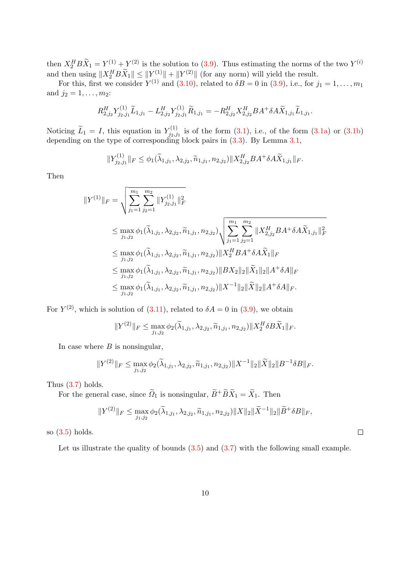then  $X_2^H B \tilde{X}_1 = Y^{(1)} + Y^{(2)}$  is the solution to [\(3.9\)](#page-8-0). Thus estimating the norms of the two  $Y^{(i)}$ and then using  $||X_2^H B \tilde{X}_1|| \le ||Y^{(1)}|| + ||Y^{(2)}||$  (for any norm) will yield the result.

For this, first we consider  $Y^{(1)}$  and  $(3.10)$ , related to  $\delta B = 0$  in  $(3.9)$ , i.e., for  $j_1 = 1, \ldots, m_1$ and  $j_2 = 1, ..., m_2$ :

$$
R^{H}_{2,j_2}Y^{(1)}_{j_2,j_1}\widetilde{L}_{1,j_1}-L^{H}_{2,j_2}Y^{(1)}_{j_2,j_1}\widetilde{R}_{1,j_1}=-R^{H}_{2,j_2}X^{H}_{2,j_2}BA^+\delta A\widetilde{X}_{1,j_1}\widetilde{L}_{1,j_1}.
$$

Noticing  $\widetilde{L}_1 = I$ , this equation in  $Y_{j_2,j}^{(1)}$  $j_{2,j_1}^{(1)}$  is of the form  $(3.1)$ , i.e., of the form  $(3.1a)$  or  $(3.1b)$ depending on the type of corresponding block pairs in [\(3.3\)](#page-6-0). By Lemma [3.1,](#page-5-3)

$$
||Y_{j_2,j_1}^{(1)}||_F \leq \phi_1(\widetilde{\lambda}_{1,j_1}, \lambda_{2,j_2}, \widetilde{n}_{1,j_1}, n_{2,j_2})||X_{2,j_2}^H BA^+ \delta A \widetilde{X}_{1,j_1}||_F.
$$

Then

$$
\|Y^{(1)}\|_{F} = \sqrt{\sum_{j_1=1}^{m_1} \sum_{j_2=1}^{m_2} \|Y_{j_2,j_1}^{(1)}\|_F^2}
$$
  
\n
$$
\leq \max_{j_1,j_2} \phi_1(\tilde{\lambda}_{1,j_1}, \lambda_{2,j_2}, \tilde{n}_{1,j_1}, n_{2,j_2}) \sqrt{\sum_{j_1=1}^{m_1} \sum_{j_2=1}^{m_2} \|X_{2,j_2}^H BA^+ \delta A \tilde{X}_{1,j_1}\|_F^2}
$$
  
\n
$$
\leq \max_{j_1,j_2} \phi_1(\tilde{\lambda}_{1,j_1}, \lambda_{2,j_2}, \tilde{n}_{1,j_1}, n_{2,j_2}) \|X_2^H BA^+ \delta A \tilde{X}_1\|_F
$$
  
\n
$$
\leq \max_{j_1,j_2} \phi_1(\tilde{\lambda}_{1,j_1}, \lambda_{2,j_2}, \tilde{n}_{1,j_1}, n_{2,j_2}) \|BX_2\|_2 \|\tilde{X}_1\|_2 \|A^+ \delta A\|_F
$$
  
\n
$$
\leq \max_{j_1,j_2} \phi_1(\tilde{\lambda}_{1,j_1}, \lambda_{2,j_2}, \tilde{n}_{1,j_1}, n_{2,j_2}) \|X^{-1}\|_2 \|\tilde{X}\|_2 \|A^+ \delta A\|_F.
$$

For  $Y^{(2)}$ , which is solution of [\(3.11\)](#page-8-2), related to  $\delta A = 0$  in [\(3.9\)](#page-8-0), we obtain

$$
||Y^{(2)}||_F \le \max_{j_1,j_2} \phi_2(\widetilde{\lambda}_{1,j_1}, \lambda_{2,j_2}, \widetilde{n}_{1,j_1}, n_{2,j_2}) ||X_2^H \delta B \widetilde{X}_1||_F.
$$

In case where  $B$  is nonsingular,

$$
||Y^{(2)}||_F \le \max_{j_1,j_2} \phi_2(\widetilde{\lambda}_{1,j_1}, \lambda_{2,j_2}, \widetilde{n}_{1,j_1}, n_{2,j_2}) ||X^{-1}||_2 ||\widetilde{X}||_2 ||B^{-1} \delta B||_F.
$$

Thus [\(3.7\)](#page-7-1) holds.

For the general case, since  $\widetilde{\Omega}_1$  is nonsingular,  $\widetilde{B}^+ \widetilde{B} \widetilde{X}_1 = \widetilde{X}_1$ . Then

$$
||Y^{(2)}||_F \le \max_{j_1,j_2} \phi_2(\widetilde{\lambda}_{1,j_1}, \lambda_{2,j_2}, \widetilde{n}_{1,j_1}, n_{2,j_2}) ||X||_2 ||\widetilde{X}^{-1}||_2 ||\widetilde{B}^+\delta B||_F,
$$

 $\Box$ 

so [\(3.5\)](#page-7-2) holds.

Let us illustrate the quality of bounds  $(3.5)$  and  $(3.7)$  with the following small example.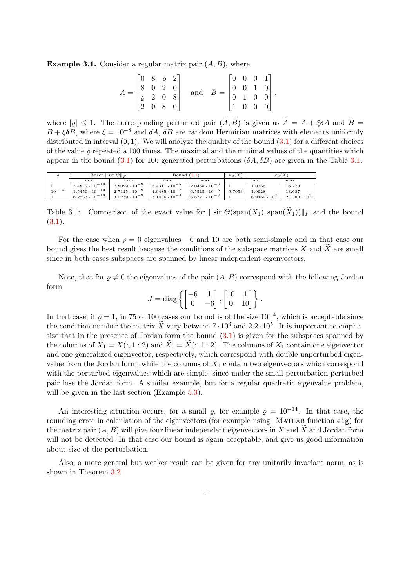**Example 3.1.** Consider a regular matrix pair  $(A, B)$ , where

$$
A = \begin{bmatrix} 0 & 8 & \varrho & 2 \\ 8 & 0 & 2 & 0 \\ \varrho & 2 & 0 & 8 \\ 2 & 0 & 8 & 0 \end{bmatrix} \quad \text{and} \quad B = \begin{bmatrix} 0 & 0 & 0 & 1 \\ 0 & 0 & 1 & 0 \\ 0 & 1 & 0 & 0 \\ 1 & 0 & 0 & 0 \end{bmatrix},
$$

where  $|\rho| \leq 1$ . The corresponding perturbed pair  $(\widetilde{A}, \widetilde{B})$  is given as  $\widetilde{A} = A + \xi \delta A$  and  $\widetilde{B} =$  $B + \xi \delta B$ , where  $\xi = 10^{-8}$  and  $\delta A$ ,  $\delta B$  are random Hermitian matrices with elements uniformly distributed in interval  $(0, 1)$ . We will analyze the quality of the bound  $(3.1)$  for a different choices of the value  $\rho$  repeated a 100 times. The maximal and the minimal values of the quantities which appear in the bound  $(3.1)$  for 100 generated perturbations  $(\delta A, \delta B)$  are given in the Table [3.1.](#page-10-0)

<span id="page-10-0"></span>

|            | Exact $\ \sin\Theta\ _F$ |                        | Bound $(3.1)$          |                        | $\kappa_2(X)$ | $\kappa_2(X)$       |                       |
|------------|--------------------------|------------------------|------------------------|------------------------|---------------|---------------------|-----------------------|
|            | min                      | max                    | min                    | max                    |               | min                 | max                   |
|            | $5.4812 \cdot 10^{-10}$  | $2.8099 \cdot 10^{-9}$ | $5.4311 \cdot 10^{-8}$ | $2.0468 \cdot 10^{-6}$ |               | 1.0766              | 16.770                |
| $10^{-14}$ | $1.5450 \cdot 10^{-10}$  | $2.7125 \cdot 10^{-9}$ | $4.0485 \cdot 10^{-7}$ | $6.5515 \cdot 10^{-6}$ | 9.7053        | 1.0928              | 13.687                |
|            | $6.2533 \cdot 10^{-10}$  | $3.0239 \cdot 10^{-9}$ | $3.1436 \cdot 10^{-4}$ | $8.6771 \cdot 10^{-3}$ |               | $6.9469 \cdot 10^3$ | $2.1380 \cdot 10^{5}$ |

Table 3.1: Comparison of the exact value for  $\|\sin \Theta(\text{span}(X_1),\text{span}(\tilde{X}_1))\|_F$  and the bound  $(3.1).$  $(3.1).$ 

For the case when  $\rho = 0$  eigenvalues  $-6$  and 10 are both semi-simple and in that case our bound gives the best result because the conditions of the subspace matrices  $X$  and  $\overline{X}$  are small since in both cases subspaces are spanned by linear independent eigenvectors.

Note, that for  $\rho \neq 0$  the eigenvalues of the pair  $(A, B)$  correspond with the following Jordan form

$$
J = \text{diag}\left\{ \begin{bmatrix} -6 & 1 \\ 0 & -6 \end{bmatrix}, \begin{bmatrix} 10 & 1 \\ 0 & 10 \end{bmatrix} \right\}.
$$

In that case, if  $\varrho = 1$ , in 75 of 100 cases our bound is of the size  $10^{-4}$ , which is acceptable since the condition number the matrix  $\tilde{X}$  vary between  $7 \cdot 10^3$  and  $2.2 \cdot 10^5$ . It is important to emphasize that in the presence of Jordan form the bound  $(3.1)$  is given for the subspaces spanned by the columns of  $X_1 = X(:, 1 : 2)$  and  $X_1 = X(:, 1 : 2)$ . The columns of  $X_1$  contain one eigenvector and one generalized eigenvector, respectively, which correspond with double unperturbed eigenvalue from the Jordan form, while the columns of  $X_1$  contain two eigenvectors which correspond with the perturbed eigenvalues which are simple, since under the small perturbation perturbed pair lose the Jordan form. A similar example, but for a regular quadratic eigenvalue problem, will be given in the last section (Example [5.3\)](#page-19-0).

An interesting situation occurs, for a small  $\rho$ , for example  $\rho = 10^{-14}$ . In that case, the rounding error in calculation of the eigenvectors (for example using MATLAB function eig) for the matrix pair  $(A, B)$  will give four linear independent eigenvectors in X and X and Jordan form will not be detected. In that case our bound is again acceptable, and give us good information about size of the perturbation.

Also, a more general but weaker result can be given for any unitarily invariant norm, as is shown in Theorem [3.2.](#page-11-0)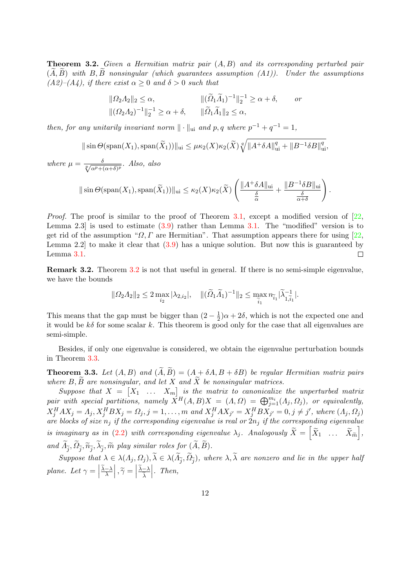<span id="page-11-0"></span>**Theorem 3.2.** Given a Hermitian matrix pair  $(A, B)$  and its corresponding perturbed pair  $(\tilde{A}, \tilde{B})$  with B,  $\tilde{B}$  nonsingular (which guarantees assumption (A1)). Under the assumptions  $(A2)$ – $(A4)$ , if there exist  $\alpha \geq 0$  and  $\delta > 0$  such that

$$
\|\Omega_2 \Lambda_2\|_2 \le \alpha, \qquad \|\left(\widetilde{\Omega}_1 \widetilde{\Lambda}_1\right)^{-1}\|_2^{-1} \ge \alpha + \delta, \qquad or
$$
  

$$
\|\left(\Omega_2 \Lambda_2\right)^{-1}\|_2^{-1} \ge \alpha + \delta, \qquad \|\widetilde{\Omega}_1 \widetilde{\Lambda}_1\|_2 \le \alpha,
$$

then, for any unitarily invariant norm  $\|\cdot\|_{\text{ui}}$  and p, q where  $p^{-1} + q^{-1} = 1$ ,

$$
\|\sin\Theta(\text{span}(X_1),\text{span}(\widetilde{X}_1))\|_{\text{ui}} \leq \mu\kappa_2(X)\kappa_2(\widetilde{X})\sqrt[q]{\|A^+\delta A\|_{\text{ui}}^q + \|B^{-1}\delta B\|_{\text{ui}}^q},
$$

where  $\mu = \frac{\delta}{\sqrt[p]{\alpha^p + (\alpha + \delta)^p}}$ . Also, also

$$
\|\sin\Theta(\text{span}(X_1),\text{span}(\widetilde{X}_1))\|_{\text{ui}} \leq \kappa_2(X)\kappa_2(\widetilde{X})\left(\frac{\|A^+\delta A\|_{\text{ui}}}{\frac{\delta}{\alpha}} + \frac{\|B^{-1}\delta B\|_{\text{ui}}}{\frac{\delta}{\alpha+\delta}}\right).
$$

*Proof.* The proof is similar to the proof of Theorem [3.1,](#page-7-1) except a modified version of  $[22, 1]$  $[22, 1]$ Lemma 2.3 is used to estimate  $(3.9)$  rather than Lemma [3.1.](#page-5-3) The "modified" version is to get rid of the assumption " $\Omega$ , Γ are Hermitian". That assumption appears there for using [\[22,](#page-28-17) Lemma 2.2] to make it clear that [\(3.9\)](#page-8-0) has a unique solution. But now this is guaranteed by Lemma [3.1.](#page-5-3)  $\Box$ 

Remark 3.2. Theorem [3.2](#page-11-0) is not that useful in general. If there is no semi-simple eigenvalue, we have the bounds

$$
\|\Omega_2 \Lambda_2\|_2 \le 2 \max_{i_2} |\lambda_{2,i_2}|, \quad \|(\widetilde{\Omega}_1 \widetilde{\Lambda}_1)^{-1}\|_2 \le \max_{\widetilde{i}_1} n_{\widetilde{i}_1} |\widetilde{\lambda}_{1,\widetilde{i}_1}^{-1}|.
$$

This means that the gap must be bigger than  $(2-\frac{1}{2})$  $\frac{1}{2}$ ) $\alpha + 2\delta$ , which is not the expected one and it would be  $k\delta$  for some scalar k. This theorem is good only for the case that all eigenvalues are semi-simple.

Besides, if only one eigenvalue is considered, we obtain the eigenvalue perturbation bounds in Theorem [3.3.](#page-12-0)

**Theorem 3.3.** Let  $(A, B)$  and  $(\widetilde{A}, \widetilde{B}) = (A + \delta A, B + \delta B)$  be regular Hermitian matrix pairs where  $B, \widetilde{B}$  are nonsingular, and let X and  $\widetilde{X}$  be nonsingular matrices.

Suppose that  $X = \begin{bmatrix} X_1 & \dots & X_m \end{bmatrix}$  is the matrix to canonicalize the unperturbed matrix pair with special partitions, namely  $\overrightarrow{X}^H(A, B)X = (A, \Omega) = \bigoplus_{j=1}^{m_i} (A_j, \Omega_j)$ , or equivalently,  $X_j^H A X_j = \Lambda_j, X_j^H B X_j = \Omega_j, j = 1, \ldots, m$  and  $X_j^H A X_{j'} = X_j^H B X_{j'} = 0, j \neq j'$ , where  $(\Lambda_j, \Omega_j)$ are blocks of size  $n_j$  if the corresponding eigenvalue is real or  $2n_j$  if the corresponding eigenvalue is imaginary as in [\(2.2\)](#page-4-1) with corresponding eigenvalue  $\lambda_j$ . Analogously  $\widetilde{X} = \begin{bmatrix} \widetilde{X}_1 & \dots & \widetilde{X}_{\widetilde{m}} \end{bmatrix}$ , and  $\Lambda_{\widetilde{j}}, \Omega_{\widetilde{j}}, \widetilde{n}_{\widetilde{j}}, \lambda_{\widetilde{j}}, \widetilde{m}$  play similar roles for  $(A, B)$ .

Suppose that  $\lambda \in \lambda(\Lambda_j, \Omega_j)$ ,  $\lambda \in \lambda(\Lambda_j, \Omega_j)$ , where  $\lambda, \lambda$  are nonzero and lie in the upper half plane. Let  $\gamma =$  $\left| \frac{\widetilde{\lambda} - \lambda}{\lambda} \right|, \widetilde{\gamma} = \left|$  $\frac{\lambda-\lambda}{\tau}$  $\lambda$  $\Big|$ . Then,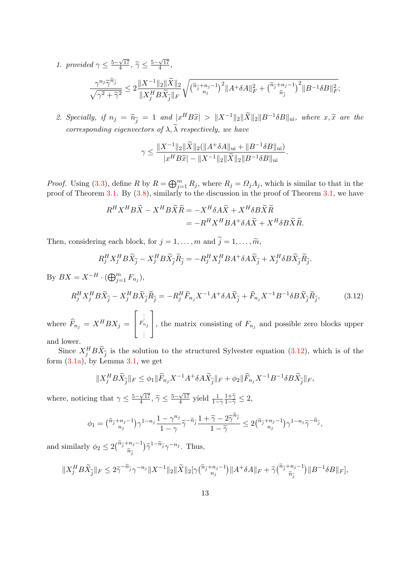- 1. provided  $\gamma \leq \frac{5-\sqrt{17}}{4}$  $\frac{\sqrt{17}}{4}$ ,  $\tilde{\gamma} \leq \frac{5-\sqrt{17}}{4}$  $\frac{\sqrt{17}}{4}$ ,  $\frac{\gamma^{n_j}\widetilde{\gamma}^{\widetilde{n}_{\widetilde{j}}}}{\sqrt{n_j}}$  $\frac{\gamma^{n_j} \widetilde{\gamma}^{\widetilde{n}_{\widetilde{j}}}}{\sqrt{\gamma^2 + \widetilde{\gamma}^2}} \leq 2 \frac{\|X^{-1}\|_2 \|\widetilde{X}\|_2}{\|X^H_j B \widetilde{X}_{\widetilde{j}}\|_F}$  $\|X_j^H B \widetilde{X}_{\widetilde{j}}\|_F$  $\sqrt{\binom{\widetilde n_{\widetilde j}+n_j-1}{n_j}^2\|A^+\delta A\|_F^2+\binom{\widetilde n_{\widetilde j}+n_j-1}{\widetilde n_{\widetilde i}}}$  $\widetilde{n}_{\widetilde{j}}$  $\big)^2 \|B^{-1} \delta B\|_F^2;$
- <span id="page-12-0"></span>2. Specially, if  $n_j = \widetilde{n}_{\widetilde{j}} = 1$  and  $|x^H B \widetilde{x}| > ||X^{-1}||_2 ||\widetilde{X}||_2 ||B^{-1} \delta B||_{\text{ui}}$ , where  $x, \widetilde{x}$  are the corresponding eigenvectors of  $\lambda$ ,  $\tilde{\lambda}$  respectively, we have

$$
\gamma \leq \frac{\|X^{-1}\|_2 \|\widetilde{X}\|_2 (\|A^+\delta A\|_{\text{ui}} + \|B^{-1}\delta B\|_{\text{ui}})}{|x^H B\widetilde{x}| - \|X^{-1}\|_2 \|\widetilde{X}\|_2 \|B^{-1}\delta B\|_{\text{ui}}}.
$$

*Proof.* Using [\(3.3\)](#page-6-0), define R by  $R = \bigoplus_{j=1}^{m} R_j$ , where  $R_j = \Omega_j \Lambda_j$ , which is similar to that in the proof of Theorem [3.1.](#page-7-1) By  $(3.8)$ , similarly to the discussion in the proof of Theorem [3.1,](#page-7-0) we have

$$
R^H X^H B \tilde{X} - X^H B \tilde{X} \tilde{R} = -X^H \delta A \tilde{X} + X^H \delta B \tilde{X} \tilde{R}
$$
  
= 
$$
-R^H X^H B A^+ \delta A \tilde{X} + X^H \delta B \tilde{X} \tilde{R}.
$$

Then, considering each block, for  $j = 1, \ldots, m$  and  $\tilde{j} = 1, \ldots, \tilde{m}$ ,

$$
R_j^H X_j^H B \tilde{X}_{\tilde{j}} - X_j^H B \tilde{X}_{\tilde{j}} \tilde{R}_{\tilde{j}} = -R_j^H X_j^H B A^+ \delta A \tilde{X}_{\tilde{j}} + X_j^H \delta B \tilde{X}_{\tilde{j}} \tilde{R}_{\tilde{j}}.
$$

By  $BX = X^{-H} \cdot (\bigoplus_{j=1}^{m} F_{n_j}),$ 

<span id="page-12-1"></span>
$$
R_j^H X_j^H B \tilde{X}_{\tilde{j}} - X_j^H B \tilde{X}_{\tilde{j}} \tilde{R}_{\tilde{j}} = -R_j^H \hat{F}_{n_j} X^{-1} A^+ \delta A \tilde{X}_{\tilde{j}} + \hat{F}_{n_j} X^{-1} B^{-1} \delta B \tilde{X}_{\tilde{j}} \tilde{R}_{\tilde{j}},
$$
(3.12)

where  $\widehat{F}_{n_j} = X^H B X_j =$  $\sqrt{ }$  $\overline{\phantom{a}}$  $\vdots$ <br> $\vdots$ <br> $F_{n_j}$ . . . 1 , the matrix consisting of  $F_{n_j}$  and possible zero blocks upper and lower.

Since  $X_j^H B \tilde{X}_{\tilde{j}}$  is the solution to the structured Sylvester equation [\(3.12\)](#page-12-1), which is of the form  $(3.1a)$ , by Lemma  $3.1$ , we get

$$
||X_j^H B \widetilde{X}_{\widetilde{j}}||_F \leq \phi_1 ||\widehat{F}_{n_j} X^{-1} A^+ \delta A \widetilde{X}_{\widetilde{j}}||_F + \phi_2 ||\widehat{F}_{n_j} X^{-1} B^{-1} \delta B \widetilde{X}_{\widetilde{j}}||_F,
$$

where, noticing that  $\gamma \leq \frac{5-\sqrt{17}}{4}$  $\frac{\sqrt{17}}{4}$ ,  $\widetilde{\gamma} \leq \frac{5-\sqrt{17}}{4}$  $\frac{\sqrt{17}}{4}$  yield  $\frac{1}{1-\gamma}\frac{1+\widetilde{\gamma}}{1-\widetilde{\gamma}} \leq 2$ ,

$$
\phi_1 = {\tilde{n}_j + n_j - 1 \choose n_j} \gamma^{1 - n_j} \frac{1 - \gamma^{n_j}}{1 - \gamma} \tilde{\gamma}^{-\tilde{n}_{\tilde{j}}} \frac{1 + \tilde{\gamma} - 2\tilde{\gamma}^{\tilde{n}_{\tilde{j}}}}{1 - \tilde{\gamma}} \leq 2{\tilde{n}_j + n_j - 1 \choose n_j} \gamma^{1 - n_j} \tilde{\gamma}^{-\tilde{n}_{\tilde{j}}},
$$

and similarly  $\phi_2 \leq 2 \left( \frac{\tilde{n}_{\tilde{j}} + n_j - 1}{\tilde{n}_{\tilde{j}}} \right)$  $\widetilde{n}_{\widetilde{j}}$  $\big) \widetilde{\gamma}^{1-\widetilde{n}_{\widetilde{j}}} \gamma^{-n_{j}}.$  Thus,

$$
||X_j^H B\widetilde{X}_{\widetilde{j}}||_F\leq 2\widetilde{\gamma}^{-\widetilde{n}_{\widetilde{j}}}\gamma^{-n_j}||X^{-1}||_2||\widetilde{X}||_2[\gamma(\widetilde{n}_{\widetilde{j}}+n_j-1)||A^+\delta A||_F+\widetilde{\gamma}(\widetilde{n}_{\widetilde{j}}+n_j-1)||B^{-1}\delta B||_F],
$$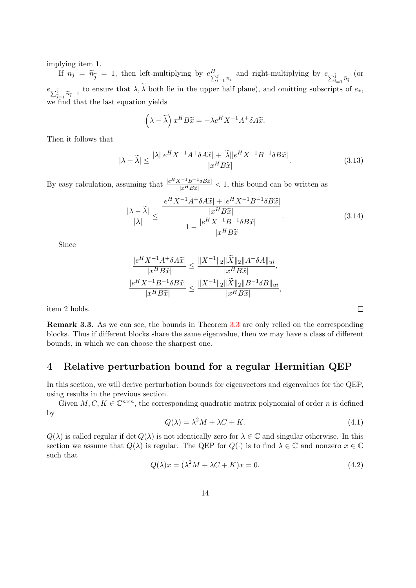implying item 1.

If  $n_j = \tilde{n}_{\tilde{j}} = 1$ , then left-multiplying by  $e_{\sum_{i=1}^j n_i}^H$  and right-multiplying by  $e_{\sum_{i=1}^{\tilde{j}} \tilde{n}_{\tilde{i}}}$  $e_{\sum_{i=1}^{\widetilde{j}} \widetilde{n}_{i}-1}$  to ensure that  $\lambda, \widetilde{\lambda}$  both lie in the upper half plane), and omitting subscripts of  $e_*,$ (or we find that the last equation yields

$$
(\lambda - \widetilde{\lambda}) x^H B \widetilde{x} = -\lambda e^H X^{-1} A^+ \delta A \widetilde{x}.
$$

Then it follows that

$$
|\lambda - \widetilde{\lambda}| \le \frac{|\lambda||e^H X^{-1} A^+ \delta A \widetilde{x}| + |\widetilde{\lambda}||e^H X^{-1} B^{-1} \delta B \widetilde{x}|}{|x^H B \widetilde{x}|}.
$$
\n(3.13)

By easy calculation, assuming that  $\frac{|e^H X^{-1} B^{-1} \delta B\tilde{x}|}{|e^H B\tilde{x}|}$  $\frac{1 - B - 3Bx}{|x^H B\tilde{x}|} < 1$ , this bound can be written as

$$
\frac{|\lambda - \widetilde{\lambda}|}{|\lambda|} \le \frac{\frac{|e^H X^{-1} A^+ \delta A \widetilde{x}| + |e^H X^{-1} B^{-1} \delta B \widetilde{x}|}{|x^H B \widetilde{x}|}}{1 - \frac{|e^H X^{-1} B^{-1} \delta B \widetilde{x}|}{|x^H B \widetilde{x}|}}.
$$
(3.14)

Since

$$
\frac{|e^H X^{-1} A^+ \delta A \widetilde{x}|}{|x^H B \widetilde{x}|} \le \frac{||X^{-1}||_2 ||\widetilde{X}||_2 ||A^+ \delta A||_{ui}}{|x^H B \widetilde{x}|},
$$
  

$$
\frac{|e^H X^{-1} B^{-1} \delta B \widetilde{x}|}{|x^H B \widetilde{x}|} \le \frac{||X^{-1}||_2 ||\widetilde{X}||_2 ||B^{-1} \delta B||_{ui}}{|x^H B \widetilde{x}|},
$$

item 2 holds.

Remark 3.3. As we can see, the bounds in Theorem [3.3](#page-12-0) are only relied on the corresponding blocks. Thus if different blocks share the same eigenvalue, then we may have a class of different bounds, in which we can choose the sharpest one.

## <span id="page-13-0"></span>4 Relative perturbation bound for a regular Hermitian QEP

In this section, we will derive perturbation bounds for eigenvectors and eigenvalues for the QEP, using results in the previous section.

Given  $M, C, K \in \mathbb{C}^{n \times n}$ , the corresponding quadratic matrix polynomial of order *n* is defined by

$$
Q(\lambda) = \lambda^2 M + \lambda C + K. \tag{4.1}
$$

 $\Box$ 

 $Q(\lambda)$  is called regular if det  $Q(\lambda)$  is not identically zero for  $\lambda \in \mathbb{C}$  and singular otherwise. In this section we assume that  $Q(\lambda)$  is regular. The QEP for  $Q(\cdot)$  is to find  $\lambda \in \mathbb{C}$  and nonzero  $x \in \mathbb{C}$ such that

<span id="page-13-1"></span>
$$
Q(\lambda)x = (\lambda^2 M + \lambda C + K)x = 0.
$$
\n(4.2)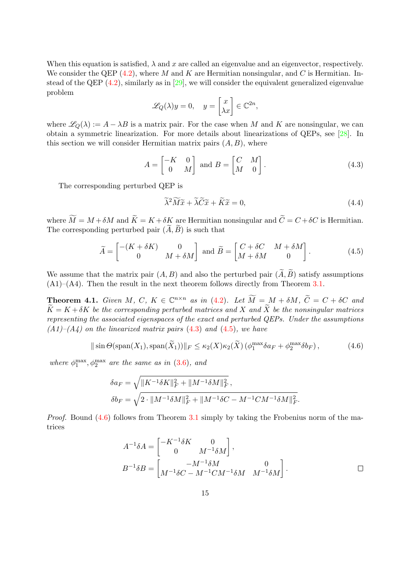When this equation is satisfied,  $\lambda$  and x are called an eigenvalue and an eigenvector, respectively. We consider the QEP  $(4.2)$ , where M and K are Hermitian nonsingular, and C is Hermitian. Instead of the QEP  $(4.2)$ , similarly as in [\[29\]](#page-28-8), we will consider the equivalent generalized eigenvalue problem

$$
\mathscr{L}_Q(\lambda)y = 0, \quad y = \begin{bmatrix} x \\ \lambda x \end{bmatrix} \in \mathbb{C}^{2n},
$$

where  $\mathscr{L}_{\mathcal{O}}(\lambda) := A - \lambda B$  is a matrix pair. For the case when M and K are nonsingular, we can obtain a symmetric linearization. For more details about linearizations of QEPs, see [\[28\]](#page-28-1). In this section we will consider Hermitian matrix pairs  $(A, B)$ , where

<span id="page-14-0"></span>
$$
A = \begin{bmatrix} -K & 0 \\ 0 & M \end{bmatrix} \text{ and } B = \begin{bmatrix} C & M \\ M & 0 \end{bmatrix}.
$$
 (4.3)

The corresponding perturbed QEP is

<span id="page-14-3"></span><span id="page-14-1"></span>
$$
\widetilde{\lambda}^2 \widetilde{M} \widetilde{x} + \widetilde{\lambda} \widetilde{C} \widetilde{x} + \widetilde{K} \widetilde{x} = 0,\tag{4.4}
$$

where  $\widetilde{M} = M + \delta M$  and  $\widetilde{K} = K + \delta K$  are Hermitian nonsingular and  $\widetilde{C} = C + \delta C$  is Hermitian. The corresponding perturbed pair  $(A, B)$  is such that

$$
\widetilde{A} = \begin{bmatrix} -(K + \delta K) & 0 \\ 0 & M + \delta M \end{bmatrix} \text{ and } \widetilde{B} = \begin{bmatrix} C + \delta C & M + \delta M \\ M + \delta M & 0 \end{bmatrix}.
$$
 (4.5)

We assume that the matrix pair  $(A, B)$  and also the perturbed pair  $(\widetilde{A}, \widetilde{B})$  satisfy assumptions  $(A1)$ – $(A4)$ . Then the result in the next theorem follows directly from Theorem [3.1.](#page-7-0)

**Theorem 4.1.** Given M, C,  $K \in \mathbb{C}^{n \times n}$  as in [\(4.2\)](#page-13-1). Let  $\widetilde{M} = M + \delta M$ ,  $\widetilde{C} = C + \delta C$  and  $\widetilde{K} = K + \delta K$  be the corresponding perturbed matrices and X and  $\widetilde{X}$  be the nonsingular matrices representing the associated eigenspaces of the exact and perturbed QEPs. Under the assumptions  $(A1)$ – $(A4)$  on the linearized matrix pairs  $(4.3)$  and  $(4.5)$ , we have

<span id="page-14-2"></span>
$$
\|\sin\Theta(\text{span}(X_1),\text{span}(\tilde{X}_1))\|_F \leq \kappa_2(X)\kappa_2(\tilde{X})\left(\phi_1^{\max}\delta a_F + \phi_2^{\max}\delta b_F\right),\tag{4.6}
$$

where  $\phi_1^{\text{max}}, \phi_2^{\text{max}}$  are the same as in [\(3.6\)](#page-7-3), and

$$
\delta a_F = \sqrt{\|K^{-1}\delta K\|_F^2 + \|M^{-1}\delta M\|_F^2},
$$
  

$$
\delta b_F = \sqrt{2 \cdot \|M^{-1}\delta M\|_F^2 + \|M^{-1}\delta C - M^{-1}CM^{-1}\delta M\|_F^2}.
$$

*Proof.* Bound  $(4.6)$  follows from Theorem [3.1](#page-7-0) simply by taking the Frobenius norm of the matrices

$$
A^{-1}\delta A = \begin{bmatrix} -K^{-1}\delta K & 0\\ 0 & M^{-1}\delta M \end{bmatrix},
$$
  
\n
$$
B^{-1}\delta B = \begin{bmatrix} -M^{-1}\delta M & 0\\ M^{-1}\delta C - M^{-1}CM^{-1}\delta M & M^{-1}\delta M \end{bmatrix}.
$$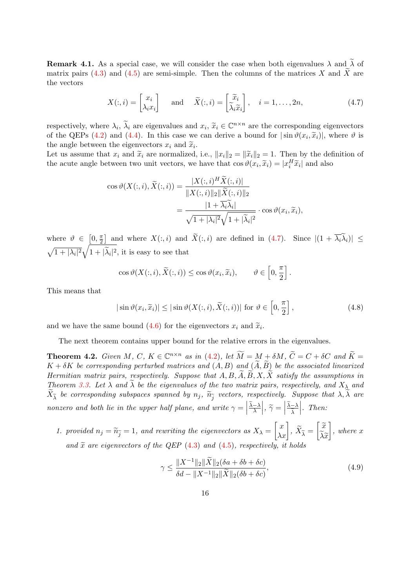**Remark 4.1.** As a special case, we will consider the case when both eigenvalues  $\lambda$  and  $\tilde{\lambda}$  of matrix pairs [\(4.3\)](#page-14-0) and [\(4.5\)](#page-14-1) are semi-simple. Then the columns of the matrices X and  $\widetilde{X}$  are the vectors

<span id="page-15-0"></span>
$$
X(:,i) = \begin{bmatrix} x_i \\ \lambda_i x_i \end{bmatrix} \quad \text{and} \quad \widetilde{X}(:,i) = \begin{bmatrix} \widetilde{x}_i \\ \widetilde{\lambda}_i \widetilde{x}_i \end{bmatrix}, \quad i = 1, \dots, 2n,
$$
 (4.7)

respectively, where  $\lambda_i$ ,  $\tilde{\lambda}_i$  are eigenvalues and  $x_i$ ,  $\tilde{x}_i \in \mathbb{C}^{n \times n}$  are the corresponding eigenvectors of the OEP<sub>G</sub> (4.2) and (4.4). In this age, we can derive a bound for  $|\sin \omega(x)| \tilde{x}$ , it where  $\omega$  i of the QEPs [\(4.2\)](#page-13-1) and [\(4.4\)](#page-14-3). In this case we can derive a bound for  $|\sin \vartheta(x_i, \tilde{x}_i)|$ , where  $\vartheta$  is<br>the angle between the circumstage x, and  $\tilde{x}$ the angle between the eigenvectors  $x_i$  and  $\tilde{x}_i$ .<br>Let us assume that  $x_i$  and  $\tilde{x}_i$  are normalized.

Let us assume that  $x_i$  and  $\tilde{x}_i$  are normalized, i.e.,  $||x_i||_2 = ||\tilde{x}_i||_2 = 1$ . Then by the definition of the acute angle between two unit vectors, we have that  $\cos \vartheta(x_i, \tilde{x}_i) = |x_i^H \tilde{x}_i|$  and also

$$
\cos \vartheta(X(:,i), \widetilde{X}(:,i)) = \frac{|X(:,i)^H \widetilde{X}(:,i)|}{\|X(:,i)\|_2 \|\widetilde{X}(:,i)\|_2}
$$

$$
= \frac{|1 + \overline{\lambda_i} \widetilde{\lambda}_i|}{\sqrt{1 + |\lambda_i|^2} \sqrt{1 + |\widetilde{\lambda}_i|^2}} \cdot \cos \vartheta(x_i, \widetilde{x}_i),
$$

where  $\vartheta \in [0, \frac{\pi}{2}]$  $\frac{\pi}{2}$  and where  $X(:, i)$  and  $\overline{X}(:, i)$  are defined in [\(4.7\)](#page-15-0). Since  $|(1 + \overline{\lambda_i} \lambda_i)| \le$  $\sqrt{1 + |\lambda_i|^2} \sqrt{1 + |\tilde{\lambda}_i|^2}$ , it is easy to see that

$$
\cos \vartheta(X(:,i), \widetilde{X}(:,i)) \le \cos \vartheta(x_i, \widetilde{x}_i), \qquad \vartheta \in \left[0, \frac{\pi}{2}\right].
$$

This means that

$$
|\sin \vartheta(x_i, \widetilde{x}_i)| \le |\sin \vartheta(X(:, i), \widetilde{X}(:, i))| \text{ for } \vartheta \in \left[0, \frac{\pi}{2}\right],\tag{4.8}
$$

and we have the same bound [\(4.6\)](#page-14-2) for the eigenvectors  $x_i$  and  $\tilde{x}_i$ .

The next theorem contains upper bound for the relative errors in the eigenvalues.

**Theorem 4.2.** Given M, C,  $K \in \mathbb{C}^{n \times n}$  as in [\(4.2\)](#page-13-1), let  $\widetilde{M} = M + \delta M$ ,  $\widetilde{C} = C + \delta C$  and  $\widetilde{K} = K$  $K + \delta K$  be corresponding perturbed matrices and  $(A, B)$  and  $(\widetilde{A}, \widetilde{B})$  be the associated linearized Hermitian matrix pairs, respectively. Suppose that  $A, B, A, B, X, X$  satisfy the assumptions in Theorem [3.3.](#page-12-0) Let  $\lambda$  and  $\lambda$  be the eigenvalues of the two matrix pairs, respectively, and  $X_{\lambda}$  and  $X_{\widetilde{\lambda}}$  be corresponding subspaces spanned by  $n_j$ ,  $\widetilde{n}_{\widetilde{j}}$  vectors, respectively. Suppose that  $\lambda, \lambda$  are nonzero and both lie in the upper half plane, and write  $\gamma = \Big|$  $\left| \frac{\widetilde{\lambda} - \lambda}{\lambda} \right|, \widetilde{\gamma} = \left| \right|$  $\frac{\lambda-\lambda}{\tau}$  $\lambda$  $\begin{array}{c} \begin{array}{c} \begin{array}{c} \end{array} \\ \begin{array}{c} \end{array} \end{array} \end{array}$ . Then:

1. provided  $n_j = \widetilde{n}_{\widetilde{j}} = 1$ , and rewriting the eigenvectors as  $X_\lambda = \begin{bmatrix} x \\ \lambda x \end{bmatrix}$ ,  $\widetilde{X}_{\widetilde{\lambda}} = \begin{bmatrix} \widetilde{x} \\ \widetilde{\lambda} \widetilde{x} \end{bmatrix}$  $\lambda \widetilde{x}$  $\big],\,where\,\,x$ and  $\tilde{x}$  are eigenvectors of the QEP [\(4.3\)](#page-14-0) and [\(4.5\)](#page-14-1), respectively, it holds

<span id="page-15-1"></span>
$$
\gamma \le \frac{\|X^{-1}\|_{2} \|\tilde{X}\|_{2} (\delta a + \delta b + \delta c)}{\delta d - \|X^{-1}\|_{2} \|\tilde{X}\|_{2} (\delta b + \delta c)},
$$
\n(4.9)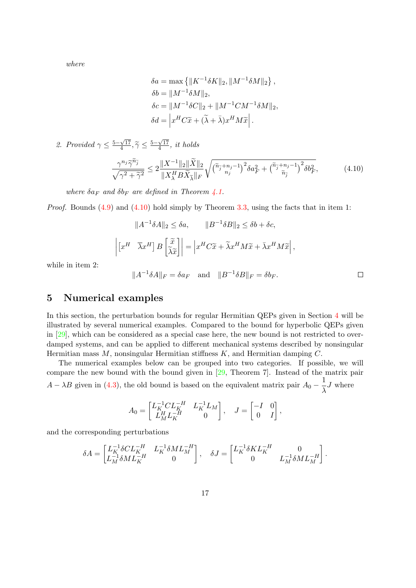where

$$
\delta a = \max \left\{ \|K^{-1}\delta K\|_2, \|M^{-1}\delta M\|_2 \right\},\
$$

$$
\delta b = \|M^{-1}\delta M\|_2,
$$

$$
\delta c = \|M^{-1}\delta C\|_2 + \|M^{-1}CM^{-1}\delta M\|_2,
$$

$$
\delta d = \left| x^H C \tilde{x} + (\tilde{\lambda} + \bar{\lambda})x^H M \tilde{x} \right|.
$$

2. Provided  $\gamma \leq \frac{5-\sqrt{17}}{4}$  $\frac{\sqrt{17}}{4}, \tilde{\gamma} \leq \frac{5-\sqrt{17}}{4}$  $\frac{\sqrt{17}}{4}$ , it holds

<span id="page-16-1"></span>
$$
\frac{\gamma^{n_j}\widetilde{\gamma}^{\widetilde{n}_{\widetilde{j}}}}{\sqrt{\gamma^2+\widetilde{\gamma}^2}} \le 2\frac{\|X^{-1}\|_2\|\widetilde{X}\|_2}{\|X^H_\lambda B\widetilde{X}_{\widetilde{\lambda}}\|_F}\sqrt{\left(\widetilde{n}_{\widetilde{j}}+n_j-1\right)^2\delta a_F^2+\left(\widetilde{n}_{\widetilde{j}}+n_j-1\right)^2\delta b_F^2},\tag{4.10}
$$

where  $\delta a_F$  and  $\delta b_F$  are defined in Theorem [4.1.](#page-14-2)

*Proof.* Bounds  $(4.9)$  and  $(4.10)$  hold simply by Theorem [3.3,](#page-12-0) using the facts that in item 1:

$$
||A^{-1}\delta A||_2 \le \delta a, \qquad ||B^{-1}\delta B||_2 \le \delta b + \delta c,
$$

$$
\left| \begin{bmatrix} x^H & \overline{\lambda} x^H \end{bmatrix} B \begin{bmatrix} \widetilde{x} \\ \widetilde{\lambda} \widetilde{x} \end{bmatrix} \right| = \left| x^H C \widetilde{x} + \widetilde{\lambda} x^H M \widetilde{x} + \overline{\lambda} x^H M \widetilde{x} \right|,
$$

while in item 2:

$$
||A^{-1}\delta A||_F = \delta a_F \quad \text{and} \quad ||B^{-1}\delta B||_F = \delta b_F.
$$

## <span id="page-16-0"></span>5 Numerical examples

In this section, the perturbation bounds for regular Hermitian QEPs given in Section [4](#page-13-0) will be illustrated by several numerical examples. Compared to the bound for hyperbolic QEPs given in [\[29\]](#page-28-8), which can be considered as a special case here, the new bound is not restricted to overdamped systems, and can be applied to different mechanical systems described by nonsingular Hermitian mass  $M$ , nonsingular Hermitian stiffness  $K$ , and Hermitian damping  $C$ .

The numerical examples below can be grouped into two categories. If possible, we will compare the new bound with the bound given in [\[29,](#page-28-8) Theorem 7]. Instead of the matrix pair  $A - \lambda B$  given in [\(4.3\)](#page-14-0), the old bound is based on the equivalent matrix pair  $A_0 - \frac{1}{\lambda}$  $\frac{1}{\lambda}J$  where

$$
A_0 = \begin{bmatrix} L_K^{-1} C L_K^{-H} & L_K^{-1} L_M \\ L_M^H L_K^{-H} & 0 \end{bmatrix}, \quad J = \begin{bmatrix} -I & 0 \\ 0 & I \end{bmatrix},
$$

and the corresponding perturbations

$$
\delta A = \begin{bmatrix} L_K^{-1} \delta CL_K^{-H} & L_K^{-1} \delta ML_M^{-H} \\ L_M^{-1} \delta ML_K^{-H} & 0 \end{bmatrix}, \quad \delta J = \begin{bmatrix} L_K^{-1} \delta KL_K^{-H} & 0 \\ 0 & L_M^{-1} \delta ML_M^{-H} \end{bmatrix}.
$$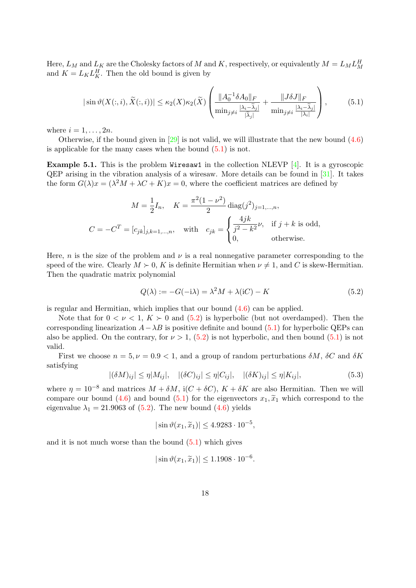Here,  $L_M$  and  $L_K$  are the Cholesky factors of M and K, respectively, or equivalently  $M = L_M L_M^H$ and  $K = L_K L_K^H$ . Then the old bound is given by

<span id="page-17-0"></span>
$$
|\sin\vartheta(X(:,i),\widetilde{X}(:,i))| \leq \kappa_2(X)\kappa_2(\widetilde{X}) \left( \frac{\|A_0^{-1}\delta A_0\|_F}{\min_{j\neq i} \frac{|\lambda_i - \widetilde{\lambda}_j|}{|\widetilde{\lambda}_j|}} + \frac{\|J\delta J\|_F}{\min_{j\neq i} \frac{|\lambda_i - \widetilde{\lambda}_j|}{|\lambda_i|}} \right),\tag{5.1}
$$

where  $i = 1, \ldots, 2n$ .

Otherwise, if the bound given in  $[29]$  is not valid, we will illustrate that the new bound  $(4.6)$ is applicable for the many cases when the bound [\(5.1\)](#page-17-0) is not.

**Example 5.1.** This is the problem Wiresaw1 in the collection NLEVP  $[4]$ . It is a gyroscopic QEP arising in the vibration analysis of a wiresaw. More details can be found in [\[31\]](#page-28-11). It takes the form  $G(\lambda)x = (\lambda^2 M + \lambda C + K)x = 0$ , where the coefficient matrices are defined by

$$
M = \frac{1}{2}I_n, \quad K = \frac{\pi^2(1 - \nu^2)}{2} \operatorname{diag}(j^2)_{j=1,\dots,n},
$$
  

$$
C = -C^T = [c_{jk}]_{j,k=1,\dots,n}, \quad \text{with} \quad c_{jk} = \begin{cases} \frac{4jk}{j^2 - k^2} \nu, & \text{if } j+k \text{ is odd,} \\ 0, & \text{otherwise.} \end{cases}
$$

Here, n is the size of the problem and  $\nu$  is a real nonnegative parameter corresponding to the speed of the wire. Clearly  $M \succ 0$ , K is definite Hermitian when  $\nu \neq 1$ , and C is skew-Hermitian. Then the quadratic matrix polynomial

<span id="page-17-1"></span>
$$
Q(\lambda) := -G(-i\lambda) = \lambda^2 M + \lambda(iC) - K
$$
\n(5.2)

is regular and Hermitian, which implies that our bound [\(4.6\)](#page-14-2) can be applied.

Note that for  $0 < \nu < 1$ ,  $K > 0$  and  $(5.2)$  is hyperbolic (but not overdamped). Then the corresponding linearization  $A-\lambda B$  is positive definite and bound [\(5.1\)](#page-17-0) for hyperbolic QEPs can also be applied. On the contrary, for  $\nu > 1$ , [\(5.2\)](#page-17-1) is not hyperbolic, and then bound [\(5.1\)](#page-17-0) is not valid.

First we choose  $n = 5, \nu = 0.9 < 1$ , and a group of random perturbations  $\delta M$ ,  $\delta C$  and  $\delta K$ satisfying

<span id="page-17-2"></span>
$$
|(\delta M)_{ij}| \le \eta |M_{ij}|, \quad |(\delta C)_{ij}| \le \eta |C_{ij}|, \quad |(\delta K)_{ij}| \le \eta |K_{ij}|,\tag{5.3}
$$

where  $\eta = 10^{-8}$  and matrices  $M + \delta M$ , i( $C + \delta C$ ),  $K + \delta K$  are also Hermitian. Then we will compare our bound [\(4.6\)](#page-14-2) and bound [\(5.1\)](#page-17-0) for the eigenvectors  $x_1, \tilde{x}_1$  which correspond to the eigenvalue  $\lambda_1 = 21.9063$  of [\(5.2\)](#page-17-1). The new bound [\(4.6\)](#page-14-2) yields

$$
|\sin \vartheta(x_1, \widetilde{x}_1)| \le 4.9283 \cdot 10^{-5},
$$

and it is not much worse than the bound  $(5.1)$  which gives

$$
|\sin \vartheta(x_1, \widetilde{x}_1)| \le 1.1908 \cdot 10^{-6}.
$$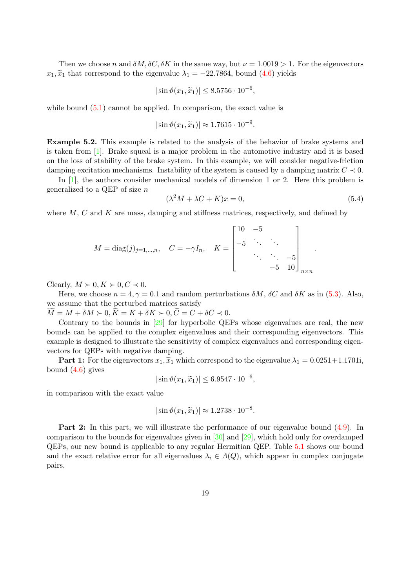Then we choose n and  $\delta M$ ,  $\delta C$ ,  $\delta K$  in the same way, but  $\nu = 1.0019 > 1$ . For the eigenvectors  $x_1, \tilde{x}_1$  that correspond to the eigenvalue  $\lambda_1 = -22.7864$ , bound [\(4.6\)](#page-14-2) yields

$$
|\sin \vartheta(x_1, \widetilde{x}_1)| \leq 8.5756 \cdot 10^{-6},
$$

while bound  $(5.1)$  cannot be applied. In comparison, the exact value is

$$
|\sin \vartheta(x_1, \widetilde{x}_1)| \approx 1.7615 \cdot 10^{-9}
$$

<span id="page-18-0"></span>Example 5.2. This example is related to the analysis of the behavior of brake systems and is taken from [\[1\]](#page-27-7). Brake squeal is a major problem in the automotive industry and it is based on the loss of stability of the brake system. In this example, we will consider negative-friction damping excitation mechanisms. Instability of the system is caused by a damping matrix  $C \prec 0$ .

In  $[1]$ , the authors consider mechanical models of dimension 1 or 2. Here this problem is generalized to a QEP of size n

$$
(\lambda^2 M + \lambda C + K)x = 0,\t(5.4)
$$

.

.

where  $M, C$  and  $K$  are mass, damping and stiffness matrices, respectively, and defined by

$$
M = \text{diag}(j)_{j=1,\dots,n}, \quad C = -\gamma I_n, \quad K = \begin{bmatrix} 10 & -5 & & \\ -5 & \ddots & \ddots & \\ & & \ddots & -5 \\ & & & -5 & 10 \end{bmatrix}_{n \times n}
$$

Clearly,  $M \succ 0, K \succ 0, C \prec 0$ .

Here, we choose  $n = 4, \gamma = 0.1$  and random perturbations  $\delta M$ ,  $\delta C$  and  $\delta K$  as in [\(5.3\)](#page-17-2). Also, we assume that the perturbed matrices satisfy

 $M = M + \delta M > 0, K = K + \delta K > 0, C = C + \delta C < 0.$ 

Contrary to the bounds in [\[29\]](#page-28-8) for hyperbolic QEPs whose eigenvalues are real, the new bounds can be applied to the complex eigenvalues and their corresponding eigenvectors. This example is designed to illustrate the sensitivity of complex eigenvalues and corresponding eigenvectors for QEPs with negative damping.

**Part 1:** For the eigenvectors  $x_1, \tilde{x}_1$  which correspond to the eigenvalue  $\lambda_1 = 0.0251 + 1.1701$ ; bound [\(4.6\)](#page-14-2) gives

$$
|\sin \vartheta(x_1, \widetilde{x}_1)| \leq 6.9547 \cdot 10^{-6},
$$

in comparison with the exact value

$$
|\sin \vartheta(x_1, \widetilde{x}_1)| \approx 1.2738 \cdot 10^{-8}.
$$

Part 2: In this part, we will illustrate the performance of our eigenvalue bound [\(4.9\)](#page-15-1). In comparison to the bounds for eigenvalues given in [\[30\]](#page-28-7) and [\[29\]](#page-28-8), which hold only for overdamped QEPs, our new bound is applicable to any regular Hermitian QEP. Table [5.1](#page-19-1) shows our bound and the exact relative error for all eigenvalues  $\lambda_i \in \Lambda(Q)$ , which appear in complex conjugate pairs.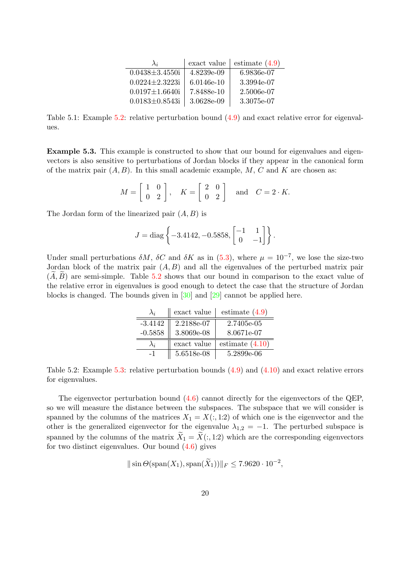| $\lambda_i$          | exact value  | estimate $(4.9)$ |
|----------------------|--------------|------------------|
| $0.0438 \pm 3.4550i$ | 4.8239e-09   | 6.9836e-07       |
| $0.0224 \pm 2.3223i$ | $6.0146e-10$ | 3.3994e-07       |
| $0.0197 \pm 1.6640i$ | 7.8488e-10   | 2.5006e-07       |
| $0.0183 \pm 0.8543i$ | 3.0628e-09   | 3.3075e-07       |

<span id="page-19-1"></span>Table 5.1: Example [5.2:](#page-18-0) relative perturbation bound [\(4.9\)](#page-15-1) and exact relative error for eigenvalues.

<span id="page-19-0"></span>Example 5.3. This example is constructed to show that our bound for eigenvalues and eigenvectors is also sensitive to perturbations of Jordan blocks if they appear in the canonical form of the matrix pair  $(A, B)$ . In this small academic example, M, C and K are chosen as:

$$
M = \begin{bmatrix} 1 & 0 \\ 0 & 2 \end{bmatrix}, \quad K = \begin{bmatrix} 2 & 0 \\ 0 & 2 \end{bmatrix} \quad \text{and} \quad C = 2 \cdot K.
$$

The Jordan form of the linearized pair  $(A, B)$  is

$$
J = \text{diag}\left\{-3.4142, -0.5858, \begin{bmatrix} -1 & 1\\ 0 & -1 \end{bmatrix}\right\}.
$$

<span id="page-19-2"></span>Under small perturbations  $\delta M$ ,  $\delta C$  and  $\delta K$  as in [\(5.3\)](#page-17-2), where  $\mu = 10^{-7}$ , we lose the size-two Jordan block of the matrix pair  $(A, B)$  and all the eigenvalues of the perturbed matrix pair  $(A, B)$  are semi-simple. Table [5.2](#page-19-2) shows that our bound in comparison to the exact value of the relative error in eigenvalues is good enough to detect the case that the structure of Jordan blocks is changed. The bounds given in [\[30\]](#page-28-7) and [\[29\]](#page-28-8) cannot be applied here.

| $\lambda_i$ | exact value | estimate $(4.9)$  |
|-------------|-------------|-------------------|
| $-3.4142$   | 2.2188e-07  | 2.7405e-05        |
| $-0.5858$   | 3.8069e-08  | 8.0671e-07        |
|             | exact value | estimate $(4.10)$ |
| -1          | 5.6518e-08  | 5.2899e-06        |

Table 5.2: Example [5.3:](#page-19-0) relative perturbation bounds [\(4.9\)](#page-15-1) and [\(4.10\)](#page-16-1) and exact relative errors for eigenvalues.

The eigenvector perturbation bound [\(4.6\)](#page-14-2) cannot directly for the eigenvectors of the QEP, so we will measure the distance between the subspaces. The subspace that we will consider is spanned by the columns of the matrices  $X_1 = X(:, 1:2)$  of which one is the eigenvector and the other is the generalized eigenvector for the eigenvalue  $\lambda_{1,2} = -1$ . The perturbed subspace is spanned by the columns of the matrix  $\widetilde{X}_1 = \widetilde{X}(:, 1:2)$  which are the corresponding eigenvectors for two distinct eigenvalues. Our bound  $(4.6)$  gives

$$
\|\sin\Theta(\text{span}(X_1),\text{span}(\widetilde{X}_1))\|_F\leq 7.9620\cdot 10^{-2},
$$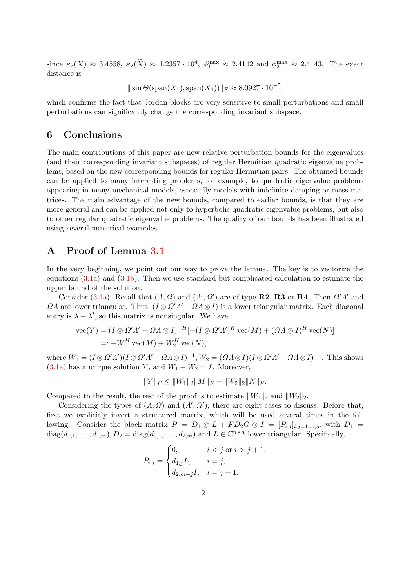since  $\kappa_2(X) \approx 3.4558$ ,  $\kappa_2(\tilde{X}) \approx 1.2357 \cdot 10^4$ ,  $\phi_1^{\max} \approx 2.4142$  and  $\phi_2^{\max} \approx 2.4143$ . The exact distance is

 $\|\sin\Theta(\text{span}(X_1),\text{span}(\widetilde{X}_1))\|_F \approx 8.0927 \cdot 10^{-5},$ 

which confirms the fact that Jordan blocks are very sensitive to small perturbations and small perturbations can significantly change the corresponding invariant subspace.

## <span id="page-20-0"></span>6 Conclusions

The main contributions of this paper are new relative perturbation bounds for the eigenvalues (and their corresponding invariant subspaces) of regular Hermitian quadratic eigenvalue problems, based on the new corresponding bounds for regular Hermitian pairs. The obtained bounds can be applied to many interesting problems, for example, to quadratic eigenvalue problems appearing in many mechanical models, especially models with indefinite damping or mass matrices. The main advantage of the new bounds, compared to earlier bounds, is that they are more general and can be applied not only to hyperbolic quadratic eigenvalue problems, but also to other regular quadratic eigenvalue problems. The quality of our bounds has been illustrated using several numerical examples.

## <span id="page-20-1"></span>A Proof of Lemma [3.1](#page-5-3)

In the very beginning, we point out our way to prove the lemma. The key is to vectorize the equations  $(3.1a)$  and  $(3.1b)$ . Then we use standard but complicated calculation to estimate the upper bound of the solution.

Consider [\(3.1a\)](#page-5-2). Recall that  $(A, \Omega)$  and  $(A', \Omega')$  are of type **R2, R3** or **R4**. Then  $\Omega' A'$  and  $\Omega\Lambda$  are lower triangular. Thus,  $(I \otimes \Omega'\Lambda' - \Omega\Lambda \otimes I)$  is a lower triangular matrix. Each diagonal entry is  $\lambda - \lambda'$ , so this matrix is nonsingular. We have

$$
\begin{aligned} \text{vec}(Y) &= (I \otimes \Omega' \Lambda' - \Omega \Lambda \otimes I)^{-H} [-(I \otimes \Omega' \Lambda')^H \text{vec}(M) + (\Omega \Lambda \otimes I)^H \text{vec}(N)] \\ &=: -W_1^H \text{vec}(M) + W_2^H \text{vec}(N), \end{aligned}
$$

where  $W_1 = (I \otimes \Omega' A')(I \otimes \Omega' A' - \Omega A \otimes I)^{-1}$ ,  $W_2 = (\Omega A \otimes I)(I \otimes \Omega' A' - \Omega A \otimes I)^{-1}$ . This shows [\(3.1a\)](#page-5-2) has a unique solution Y, and  $W_1 - W_2 = I$ . Moreover,

$$
||Y||_F \le ||W_1||_2||M||_F + ||W_2||_2||N||_F.
$$

Compared to the result, the rest of the proof is to estimate  $||W_1||_2$  and  $||W_2||_2$ .

Considering the types of  $(A, \Omega)$  and  $(A', \Omega')$ , there are eight cases to discuss. Before that, first we explicitly invert a structured matrix, which will be used several times in the following. Consider the block matrix  $P = D_1 \otimes L + FD_2G \otimes I = [P_{i,j}]_{i,j=1,\dots,m}$  with  $D_1 =$  $diag(d_{1,1},...,d_{1,m}), D_2 = diag(d_{2,1},...,d_{2,m})$  and  $L \in \mathbb{C}^{n \times n}$  lower triangular. Specifically,

$$
P_{i,j} = \begin{cases} 0, & i < j \text{ or } i > j + 1, \\ d_{1,j}L, & i = j, \\ d_{2,m-j}I, & i = j + 1. \end{cases}
$$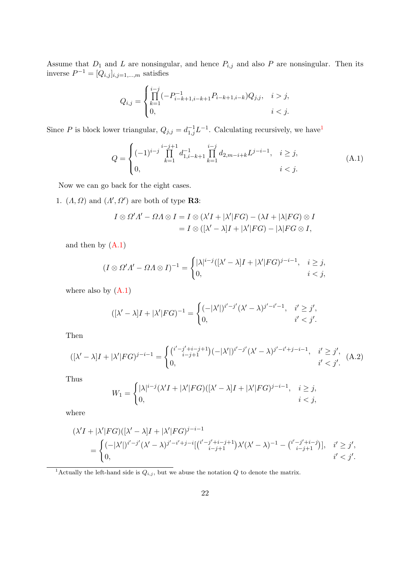Assume that  $D_1$  and L are nonsingular, and hence  $P_{i,j}$  and also P are nonsingular. Then its inverse  $P^{-1} = [Q_{i,j}]_{i,j=1,\dots,m}$  satisfies

$$
Q_{i,j} = \begin{cases} \prod_{k=1}^{i-j} (-P_{i-k+1,i-k+1}^{-1} P_{i-k+1,i-k}) Q_{j,j}, & i > j, \\ 0, & i < j. \end{cases}
$$

Since P is block lower triangular,  $Q_{j,j} = d_{1,j}^{-1} L^{-1}$  $Q_{j,j} = d_{1,j}^{-1} L^{-1}$  $Q_{j,j} = d_{1,j}^{-1} L^{-1}$ . Calculating recursively, we have

<span id="page-21-1"></span>
$$
Q = \begin{cases} (-1)^{i-j} \prod_{k=1}^{i-j+1} d_{1,i-k+1}^{-1} \prod_{k=1}^{i-j} d_{2,m-i+k} L^{j-i-1}, & i \ge j, \\ 0, & i < j. \end{cases}
$$
 (A.1)

Now we can go back for the eight cases.

<span id="page-21-2"></span>1.  $(A, \Omega)$  and  $(A', \Omega')$  are both of type **R3**:

$$
I \otimes \Omega'A' - \Omega A \otimes I = I \otimes (\lambda'I + |\lambda'|FG) - (\lambda I + |\lambda|FG) \otimes I
$$
  
=  $I \otimes ([\lambda' - \lambda]I + |\lambda'|FG) - |\lambda|FG \otimes I$ ,

and then by  $(A.1)$ 

$$
(I \otimes \Omega'A' - \Omega \wedge \otimes I)^{-1} = \begin{cases} |\lambda|^{i-j} ([\lambda' - \lambda]I + |\lambda'|FG)^{j-i-1}, & i \ge j, \\ 0, & i < j, \end{cases}
$$

where also by [\(A.1\)](#page-21-1)

$$
([\lambda'-\lambda]I+|\lambda'|FG)^{-1}=\begin{cases} (-|\lambda'|)^{i'-j'}(\lambda'-\lambda)^{j'-i'-1}, & i'\geq j',\\ 0, & i'
$$

Then

$$
([\lambda'-\lambda]I + |\lambda'|FG)^{j-i-1} = \begin{cases} \binom{i'-j'+i-j+1}{i-j+1} (-|\lambda'|)^{i'-j'} (\lambda'-\lambda)^{j'-i'+j-i-1}, & i' \ge j', \\ 0, & i' < j'. \end{cases} \tag{A.2}
$$

Thus

$$
W_1 = \begin{cases} |\lambda|^{i-j} (\lambda' I + |\lambda'| FG)([\lambda' - \lambda] I + |\lambda'| FG)^{j-i-1}, & i \ge j, \\ 0, & i < j, \end{cases}
$$

where

$$
(\lambda' I + |\lambda'| FG)([\lambda' - \lambda]I + |\lambda'|FG)^{j-i-1}
$$
  
= 
$$
\begin{cases} (-|\lambda'|)^{i'-j'}(\lambda' - \lambda)^{j'-i'+j-i}[(\binom{i'-j'+i-j+1}{i-j+1})\lambda'(\lambda' - \lambda)^{-1} - (\binom{i'-j'+i-j}{i-j+1})], & i' \ge j', \\ 0, & i' < j'. \end{cases}
$$

<span id="page-21-0"></span><sup>1</sup>Actually the left-hand side is  $Q_{i,j}$ , but we abuse the notation Q to denote the matrix.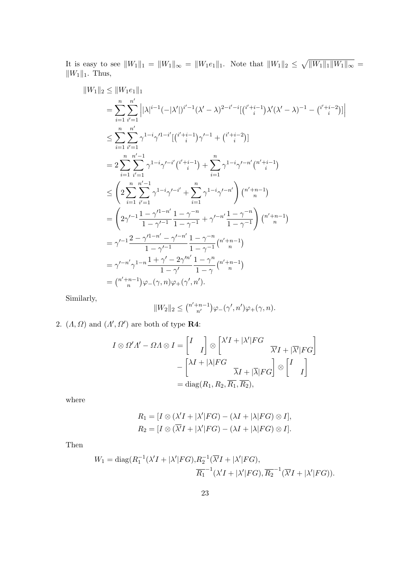It is easy to see  $||W_1||_1 = ||W_1||_{\infty} = ||W_1e_1||_1$ . Note that  $||W_1||_2 \le \sqrt{||W_1||_1 ||W_1||_{\infty}} =$  $||W_1||_1$ . Thus,

$$
||W_{1}||_{2} \le ||W_{1}e_{1}||_{1}
$$
\n
$$
= \sum_{i=1}^{n} \sum_{i'=1}^{n'} \left| |\lambda|^{i-1}(-|\lambda'|)^{i'-1}(\lambda'-\lambda)^{2-i'-i}[(i'_{i}+i-1)\lambda'(\lambda'-\lambda)^{-1} - (i'_{i}+i-2)] \right|
$$
\n
$$
\le \sum_{i=1}^{n} \sum_{i'=1}^{n'} \gamma^{1-i}\gamma'^{1-i'}[(i'_{i}+i-1)\gamma'^{-1} + (i'_{i}+i-2)]
$$
\n
$$
= 2 \sum_{i=1}^{n} \sum_{i'=1}^{n'-1} \gamma^{1-i}\gamma'^{-i'}(i'_{i}+i-1) + \sum_{i=1}^{n} \gamma^{1-i}\gamma'^{-n'}(i'_{i}+i-1)
$$
\n
$$
\le \left( 2 \sum_{i=1}^{n} \sum_{i'=1}^{n'-1} \gamma^{1-i}\gamma'^{-i'} + \sum_{i=1}^{n} \gamma^{1-i}\gamma'^{-n'} \right) \binom{n'+n-1}{n}
$$
\n
$$
= \left( 2\gamma'^{-1} \frac{1-\gamma'^{1-n'}}{1-\gamma'^{-1}} \frac{1-\gamma^{-n}}{1-\gamma^{-1}} + \gamma'^{-n'} \frac{1-\gamma^{-n}}{1-\gamma^{-1}} \right) \binom{n'+n-1}{n}
$$
\n
$$
= \gamma'^{-1} \frac{2-\gamma'^{1-n'}-\gamma'^{-n'}}{1-\gamma'^{-1}} \frac{1-\gamma^{-n}}{1-\gamma^{-1}} \binom{n'+n-1}{n}
$$
\n
$$
= \gamma'^{-n'} \gamma^{1-n} \frac{1+\gamma'-2\gamma'^{n'}}{1-\gamma} \frac{1-\gamma^{n}}{1-\gamma} \binom{n'+n-1}{n}
$$
\n
$$
= \binom{n'+n-1}{n} \varphi_{-(\gamma,n)} \varphi_{+(\gamma',n')}.
$$

Similarly,

$$
||W_2||_2 \leq {n'+n-1 \choose n'}\varphi_-(\gamma',n')\varphi_+(\gamma,n).
$$

2. 
$$
(\Lambda, \Omega)
$$
 and  $(\Lambda', \Omega')$  are both of type **R4**:

$$
I \otimes \Omega'A' - \Omega A \otimes I = \begin{bmatrix} I \\ I \end{bmatrix} \otimes \begin{bmatrix} \lambda'I + |\lambda'|FG \\ \overline{\lambda}I + |\overline{\lambda}|FG \end{bmatrix}
$$

$$
- \begin{bmatrix} \lambda I + |\lambda|FG \\ \overline{\lambda}I + |\overline{\lambda}|FG \end{bmatrix} \otimes \begin{bmatrix} I \\ I \end{bmatrix}
$$

$$
= \text{diag}(R_1, R_2, \overline{R_1}, \overline{R_2}),
$$

where

$$
R_1 = [I \otimes (\lambda'I + |\lambda'|FG) - (\lambda I + |\lambda|FG) \otimes I],
$$
  
\n
$$
R_2 = [I \otimes (\overline{\lambda'}I + |\lambda'|FG) - (\lambda I + |\lambda|FG) \otimes I].
$$

Then

$$
W_1 = \text{diag}(R_1^{-1}(\lambda' I + |\lambda'| FG), R_2^{-1}(\overline{\lambda'} I + |\lambda'| FG),
$$
  

$$
\overline{R_1}^{-1}(\lambda' I + |\lambda'| FG), \overline{R_2}^{-1}(\overline{\lambda'} I + |\lambda'| FG)).
$$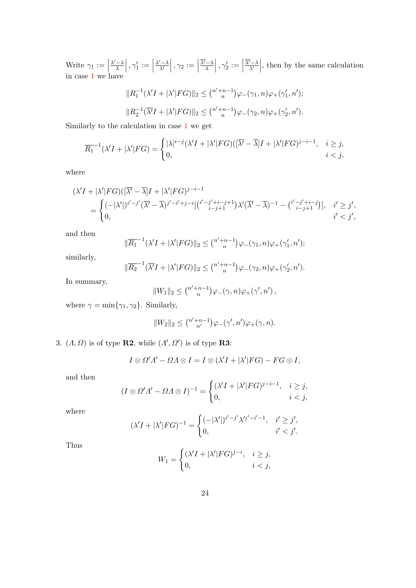Write  $\gamma_1 := \begin{bmatrix} 1 \end{bmatrix}$  $\lambda' - \lambda$  $\frac{1}{\lambda}$ ,  $\gamma_1 :=$  $\lambda' - \lambda$  $\left| \frac{\gamma_{\fbox{-}\lambda}}{\lambda'}\right|, \gamma_2 := \Big|$  $\overline{\lambda'}-\lambda$  $\frac{-\lambda}{\lambda}\Big\vert\,,\gamma_2'\,:=\,\Big\vert$  $\overline{\lambda'}-\lambda$ Write  $\gamma_1 := \left| \frac{\lambda' - \lambda}{\lambda} \right|, \gamma_1' := \left| \frac{\lambda' - \lambda}{\lambda'} \right|, \gamma_2 := \left| \frac{\overline{\lambda'} - \lambda}{\lambda} \right|, \gamma_2' := \left| \frac{\overline{\lambda'} - \lambda}{\lambda'} \right|$  $\gamma_1 := \left| \frac{\lambda' - \lambda}{\lambda} \right|, \gamma_1' := \left| \frac{\lambda' - \lambda}{\lambda'} \right|, \gamma_2 := \left| \frac{\overline{\lambda'} - \lambda}{\lambda} \right|, \gamma_2' := \left| \frac{\overline{\lambda'} - \lambda}{\lambda'} \right|$  $\gamma_1 := \left| \frac{\lambda' - \lambda}{\lambda} \right|, \gamma_1' := \left| \frac{\lambda' - \lambda}{\lambda'} \right|, \gamma_2 := \left| \frac{\overline{\lambda'} - \lambda}{\lambda} \right|, \gamma_2' := \left| \frac{\overline{\lambda'} - \lambda}{\lambda'} \right|$ , then by the same calculation in case 1 we have

$$
||R_1^{-1}(\lambda' I + |\lambda'| FG)||_2 \leq {n'+n-1 \choose n} \varphi_-(\gamma_1, n)\varphi_+(\gamma'_1, n');
$$
  

$$
||R_2^{-1}(\overline{\lambda'} I + |\lambda'| FG)||_2 \leq {n'+n-1 \choose n} \varphi_-(\gamma_2, n)\varphi_+(\gamma'_2, n').
$$

Similarly to the calculation in case [1](#page-21-2) we get

$$
\overline{R_1}^{-1}(\lambda'I + |\lambda'|FG) = \begin{cases} |\lambda|^{i-j}(\lambda'I + |\lambda'|FG)(\overline{|\lambda'} - \overline{\lambda}]I + |\lambda'|FG)^{j-i-1}, & i \ge j, \\ 0, & i < j, \end{cases}
$$

where

$$
(\lambda' I + |\lambda'| FG)(\overline{|\lambda'} - \overline{\lambda}]I + |\lambda'|FG)^{j-i-1}
$$
  
= 
$$
\begin{cases} (-|\lambda'|)^{i'-j'}(\overline{\lambda'} - \overline{\lambda})^{j'-i'+j-i}[(\overline{i'-j'+i-j+1}]\lambda'(\overline{\lambda'} - \overline{\lambda})^{-1} - (\overline{i'-j'+i-j})], & i' \geq j', \\ 0, & i' < j', \end{cases}
$$

and then

$$
\|\overline{R_1}^{-1}(\lambda'I + |\lambda'|FG)\|_2 \leq {n'+n-1 \choose n} \varphi_-(\gamma_1, n)\varphi_+(\gamma'_1, n');
$$

similarly,

$$
\|\overline{R_2}^{-1}(\overline{\lambda'}I+|\lambda'|FG)\|_2 \leq {n'+n-1 \choose n} \varphi_-(\gamma_2,n)\varphi_+(\gamma_2',n').
$$

In summary,

$$
||W_1||_2 \leq {n'+n-1 \choose n} \varphi_-(\gamma,n)\varphi_+(\gamma',n'),
$$

where  $\gamma = \min\{\gamma_1, \gamma_2\}$ . Similarly,

$$
||W_2||_2 \leq {n'+n-1 \choose n'}\varphi_-(\gamma',n')\varphi_+(\gamma,n).
$$

<span id="page-23-0"></span>3.  $(A, \Omega)$  is of type **R2**, while  $(A', \Omega')$  is of type **R3**:

$$
I\otimes \Omega'A'-\Omega A\otimes I=I\otimes (\lambda'I+|\lambda'|FG)-FG\otimes I,
$$

and then

$$
(I \otimes \Omega'A' - \Omega A \otimes I)^{-1} = \begin{cases} (\lambda' I + |\lambda'| FG)^{j-i-1}, & i \ge j, \\ 0, & i < j, \end{cases}
$$

where

$$
(\lambda' I + |\lambda'| FG)^{-1} = \begin{cases} (-|\lambda'|)^{i'-j'} \lambda'^{j'-i'-1}, & i' \ge j', \\ 0, & i' < j'. \end{cases}
$$

Thus

$$
W_1 = \begin{cases} (\lambda' I + |\lambda'| FG)^{j-i}, & i \ge j, \\ 0, & i < j, \end{cases}
$$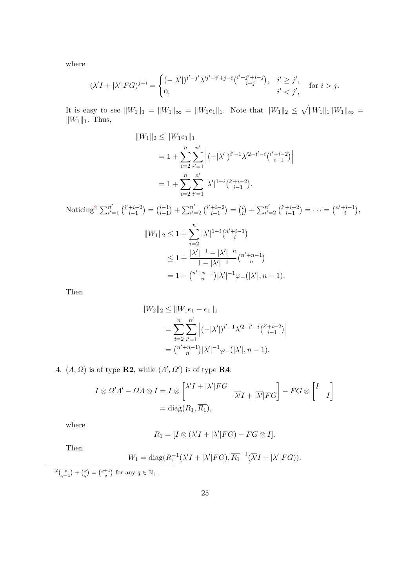where

$$
(\lambda' I + |\lambda'| FG)^{j-i} = \begin{cases} (-|\lambda'|)^{i'-j'} \lambda'^{j'-i'+j-i} \binom{i'-j'+i-j}{i-j}, & i' \ge j', \\ 0, & i' < j', \end{cases} \quad \text{for } i > j.
$$

It is easy to see  $||W_1||_1 = ||W_1||_{\infty} = ||W_1e_1||_1$ . Note that  $||W_1||_2 \le \sqrt{||W_1||_1 ||W_1||_{\infty}} =$  $\|W_1\|_1$ . Thus,

$$
||W_1||_2 \le ||W_1 e_1||_1
$$
  
=  $1 + \sum_{i=2}^n \sum_{i'=1}^{n'} |(-|\lambda'|)^{i'-1} \lambda'^{2-i'-i} \binom{i'+i-2}{i-1} |$   
=  $1 + \sum_{i=2}^n \sum_{i'=1}^{n'} |\lambda'|^{1-i} \binom{i'+i-2}{i-1}.$ 

Noticing<sup>[2](#page-24-0)</sup>  $\sum_{i'}^{n'}$  $\binom{n'}{i'}$  = 1  $\binom{i'+i-2}{i-1}$  $\binom{i+1}{i-1} = \binom{i-1}{i-1}$  $\binom{i-1}{i-1} + \sum_{i'}^{n'}$  $\binom{n'}{i'}=2\binom{i'+i-2}{i-1}$  $\binom{i+i-2}{i-1} = \binom{i}{i}$  $\binom{i}{i} + \sum_{i'}^{n'}$  $\binom{n'}{i'}=2\binom{i'+i-2}{i-1}$  $\binom{+i-2}{i-1} = \cdots = \binom{n'+i-1}{i}$  $\binom{i-1}{i},$  $||W_1||_2 \leq 1 + \sum_{n=1}^n$  $i=2$  $|\lambda'|^{1-i} \binom{n'+i-1}{i}$  $\binom{i-1}{i}$  $\leq 1 + \frac{|\lambda'|^{-1} - |\lambda'|^{-n}}{1 - |\lambda'|^{-1}}$  $\frac{|1-|\lambda'|}{1-|\lambda'|^{-1}}\binom{n'+n-1}{n}$  $\binom{n-1}{n}$  $= 1 + \binom{n'+n-1}{n}$  $\binom{n-1}{n} |\lambda'|^{-1} \varphi_{-}(|\lambda'|, n-1).$ 

Then

$$
||W_2||_2 \le ||W_1 e_1 - e_1||_1
$$
  
= 
$$
\sum_{i=2}^n \sum_{i'=1}^{n'} |(-|\lambda'|)^{i'-1} \lambda'^{2-i'-i} \binom{i'+i-2}{i-1} |
$$
  
= 
$$
\binom{n'+n-1}{n} |\lambda'|^{-1} \varphi_-(|\lambda'|, n-1).
$$

<span id="page-24-1"></span>4.  $(A, \Omega)$  is of type **R2**, while  $(A', \Omega')$  is of type **R4**:

$$
I \otimes \Omega' \Lambda' - \Omega \Lambda \otimes I = I \otimes \begin{bmatrix} \lambda' I + |\lambda'| FG \\ \overline{\lambda'} I + |\overline{\lambda'}| FG \end{bmatrix} - FG \otimes \begin{bmatrix} I \\ I \end{bmatrix}
$$
  
= diag(R<sub>1</sub>, R<sub>1</sub>),

where

$$
R_1 = [I \otimes (\lambda'I + |\lambda'|FG) - FG \otimes I].
$$

Then

$$
W_1 = \text{diag}(R_1^{-1}(\lambda' I + |\lambda'| FG), \overline{R_1}^{-1}(\overline{\lambda'} I + |\lambda'| FG)).
$$

<span id="page-24-0"></span> $2\binom{p}{q-1} + \binom{p}{q} = \binom{p+1}{q}$  for any  $q \in \mathbb{N}_+$ .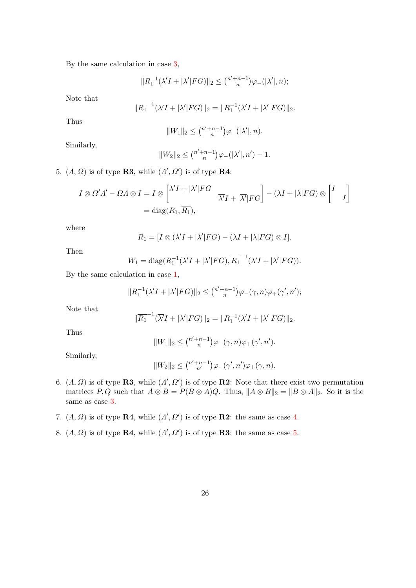By the same calculation in case [3,](#page-23-0)

$$
||R_1^{-1}(\lambda' I + |\lambda'| FG)||_2 \le {n'+n-1 \choose n} \varphi_{-}(|\lambda'|, n);
$$

Note that

$$
\|\overline{R_1}^{-1}(\overline{\lambda'}I + |\lambda'|FG)\|_2 = \|R_1^{-1}(\lambda'I + |\lambda'|FG)\|_2.
$$

Thus

$$
||W_1||_2 \le {n'+n-1 \choose n} \varphi_-(|\lambda'|, n).
$$

Similarly,

$$
||W_2||_2 \le {n'+n-1 \choose n} \varphi_-(|\lambda'|, n') - 1.
$$

<span id="page-25-0"></span>5.  $(A, \Omega)$  is of type **R3**, while  $(A', \Omega')$  is of type **R4**:

$$
I \otimes \Omega'A' - \Omega A \otimes I = I \otimes \begin{bmatrix} \lambda'I + |\lambda'|FG \\ \overline{\lambda'}I + |\overline{\lambda'}|FG \end{bmatrix} - (\lambda I + |\lambda|FG) \otimes \begin{bmatrix} I \\ I \end{bmatrix}
$$
  
= diag(R<sub>1</sub>, R<sub>1</sub>),

where

$$
R_1 = [I \otimes (\lambda'I + |\lambda'|FG) - (\lambda I + |\lambda|FG) \otimes I].
$$

Then

$$
W_1 = \text{diag}(R_1^{-1}(\lambda' I + |\lambda'| FG), \overline{R_1}^{-1}(\overline{\lambda'} I + |\lambda'| FG)).
$$

By the same calculation in case [1,](#page-21-2)

$$
||R_1^{-1}(\lambda' I + |\lambda'| FG)||_2 \leq {n'+n-1 \choose n} \varphi_{-}(\gamma, n)\varphi_{+}(\gamma', n');
$$

Note that

$$
\|\overline{R_1}^{-1}(\overline{\lambda'}I + |\lambda'|FG)\|_2 = \|R_1^{-1}(\lambda'I + |\lambda'|FG)\|_2.
$$

Thus

$$
||W_1||_2 \leq {n'+n-1 \choose n} \varphi_-(\gamma,n) \varphi_+(\gamma',n').
$$

Similarly,

$$
||W_2||_2 \le {n'+n-1 \choose n'}\varphi_-(\gamma',n')\varphi_+(\gamma,n).
$$

- 6.  $(A, \Omega)$  is of type **R3**, while  $(A', \Omega')$  is of type **R2**: Note that there exist two permutation matrices P, Q such that  $A \otimes B = P(B \otimes A)Q$ . Thus,  $||A \otimes B||_2 = ||B \otimes A||_2$ . So it is the same as case [3.](#page-23-0)
- 7.  $(A, \Omega)$  is of type **R4**, while  $(A', \Omega')$  is of type **R2**: the same as case [4.](#page-24-1)
- 8.  $(A, \Omega)$  is of type **R4**, while  $(A', \Omega')$  is of type **R3**: the same as case [5.](#page-25-0)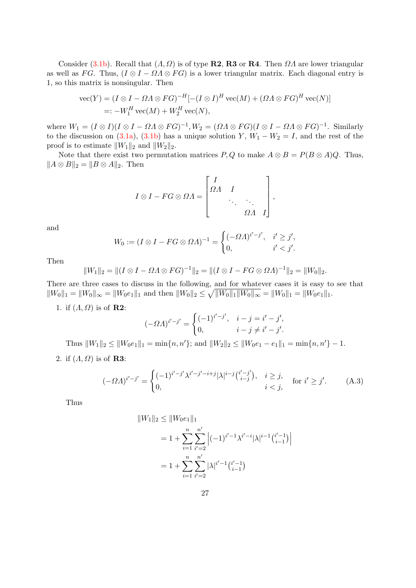Consider [\(3.1b\)](#page-5-1). Recall that  $(A, Q)$  is of type **R2, R3** or **R4**. Then  $\Omega A$  are lower triangular as well as FG. Thus,  $(I \otimes I - \Omega \wedge \otimes FG)$  is a lower triangular matrix. Each diagonal entry is 1, so this matrix is nonsingular. Then

$$
\begin{aligned} \text{vec}(Y) &= (I \otimes I - \Omega \Lambda \otimes FG)^{-H} [-(I \otimes I)^H \text{vec}(M) + (\Omega \Lambda \otimes FG)^H \text{vec}(N)] \\ &=: -W_1^H \text{vec}(M) + W_2^H \text{vec}(N), \end{aligned}
$$

where  $W_1 = (I \otimes I)(I \otimes I - \Omega A \otimes FG)^{-1}$ ,  $W_2 = (\Omega A \otimes FG)(I \otimes I - \Omega A \otimes FG)^{-1}$ . Similarly to the discussion on [\(3.1a\)](#page-5-2), [\(3.1b\)](#page-5-1) has a unique solution Y,  $W_1 - W_2 = I$ , and the rest of the proof is to estimate  $||W_1||_2$  and  $||W_2||_2$ .

Note that there exist two permutation matrices  $P, Q$  to make  $A \otimes B = P(B \otimes A)Q$ . Thus,  $||A \otimes B||_2 = ||B \otimes A||_2$ . Then

$$
I \otimes I - FG \otimes \Omega A = \begin{bmatrix} I & & & \\ \Omega A & I & & \\ & \ddots & \ddots & \\ & & \Omega A & I \end{bmatrix},
$$

and

$$
W_0 := (I \otimes I - FG \otimes \Omega A)^{-1} = \begin{cases} (-\Omega A)^{i'-j'}, & i' \ge j', \\ 0, & i' < j'. \end{cases}
$$

Then

$$
||W_1||_2 = ||(I \otimes I - \Omega \Lambda \otimes FG)^{-1}||_2 = ||(I \otimes I - FG \otimes \Omega \Lambda)^{-1}||_2 = ||W_0||_2.
$$

There are three cases to discuss in the following, and for whatever cases it is easy to see that  $||W_0||_1 = ||W_0||_{\infty} = ||W_0e_1||_1$  and then  $||W_0||_2 \le \sqrt{||W_0||_1||W_0||_{\infty}} = ||W_0||_1 = ||W_0e_1||_1$ .

1. if  $(A, \Omega)$  is of **R2**:

$$
(-\Omega A)^{i'-j'} = \begin{cases} (-1)^{i'-j'}, & i-j = i'-j', \\ 0, & i-j \neq i'-j'. \end{cases}
$$

Thus  $||W_1||_2 \le ||W_0e_1||_1 = \min\{n, n'\};$  and  $||W_2||_2 \le ||W_0e_1 - e_1||_1 = \min\{n, n'\} - 1.$ 

2. if  $(A, \Omega)$  is of **R3**:

<span id="page-26-0"></span>
$$
(-\Omega \Lambda)^{i'-j'} = \begin{cases} (-1)^{i'-j'} \lambda^{i'-j'-i+j} |\lambda|^{i-j} {i'-j' \choose i-j}, & i \ge j, \\ 0, & i < j, \end{cases} \text{ for } i' \ge j'. \tag{A.3}
$$

Thus

$$
||W_1||_2 \le ||W_0 e_1||_1
$$
  
=  $1 + \sum_{i=1}^n \sum_{i'=2}^{n'} |(-1)^{i'-1} \lambda^{i'-i} |\lambda|^{i-1} {i'-1 \choose i-1} |$   
=  $1 + \sum_{i=1}^n \sum_{i'=2}^{n'} |\lambda|^{i'-1} {i'-1 \choose i-1}$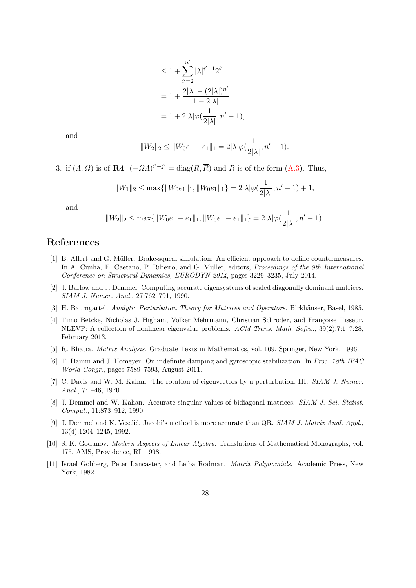$$
\leq 1 + \sum_{i'=2}^{n'} |\lambda|^{i'-1} 2^{i'-1}
$$
  
=  $1 + \frac{2|\lambda| - (2|\lambda|)^{n'}}{1 - 2|\lambda|}$   
=  $1 + 2|\lambda|\varphi(\frac{1}{2|\lambda|}, n' - 1),$ 

and

$$
||W_2||_2 \le ||W_0e_1 - e_1||_1 = 2|\lambda|\varphi(\frac{1}{2|\lambda|}, n' - 1).
$$

3. if  $(A, \Omega)$  is of **R4**:  $(-\Omega A)^{i'-j'} = \text{diag}(R, \overline{R})$  and R is of the form  $(A.3)$ . Thus,

$$
||W_1||_2 \le \max\{||W_0e_1||_1, ||\overline{W_0}e_1||_1\} = 2|\lambda|\varphi(\frac{1}{2|\lambda|}, n'-1) + 1,
$$

and

$$
||W_2||_2 \le \max\{||W_0e_1 - e_1||_1, ||\overline{W_0}e_1 - e_1||_1\} = 2|\lambda|\varphi(\frac{1}{2|\lambda|}, n' - 1).
$$

## References

- <span id="page-27-7"></span>[1] B. Allert and G. M¨uller. Brake-squeal simulation: An efficient approach to define countermeasures. In A. Cunha, E. Caetano, P. Ribeiro, and G. Müller, editors, *Proceedings of the 9th International* Conference on Structural Dynamics, EURODYN 2014, pages 3229–3235, July 2014.
- <span id="page-27-5"></span>[2] J. Barlow and J. Demmel. Computing accurate eigensystems of scaled diagonally dominant matrices. SIAM J. Numer. Anal., 27:762–791, 1990.
- <span id="page-27-2"></span>[3] H. Baumgartel. Analytic Perturbation Theory for Matrices and Operators. Birkhäuser, Basel, 1985.
- <span id="page-27-10"></span>[4] Timo Betcke, Nicholas J. Higham, Volker Mehrmann, Christian Schröder, and Françoise Tisseur. NLEVP: A collection of nonlinear eigenvalue problems. ACM Trans. Math. Softw., 39(2):7:1–7:28, February 2013.
- <span id="page-27-3"></span>[5] R. Bhatia. Matrix Analysis. Graduate Texts in Mathematics, vol. 169. Springer, New York, 1996.
- <span id="page-27-8"></span>[6] T. Damm and J. Homeyer. On indefinite damping and gyroscopic stabilization. In Proc. 18th IFAC World Congr., pages 7589–7593, August 2011.
- <span id="page-27-9"></span>[7] C. Davis and W. M. Kahan. The rotation of eigenvectors by a perturbation. III. SIAM J. Numer. Anal., 7:1–46, 1970.
- <span id="page-27-4"></span>[8] J. Demmel and W. Kahan. Accurate singular values of bidiagonal matrices. SIAM J. Sci. Statist. Comput., 11:873–912, 1990.
- <span id="page-27-6"></span>[9] J. Demmel and K. Veselić. Jacobi's method is more accurate than QR. SIAM J. Matrix Anal. Appl., 13(4):1204–1245, 1992.
- <span id="page-27-1"></span>[10] S. K. Godunov. Modern Aspects of Linear Algebra. Translations of Mathematical Monographs, vol. 175. AMS, Providence, RI, 1998.
- <span id="page-27-0"></span>[11] Israel Gohberg, Peter Lancaster, and Leiba Rodman. Matrix Polynomials. Academic Press, New York, 1982.